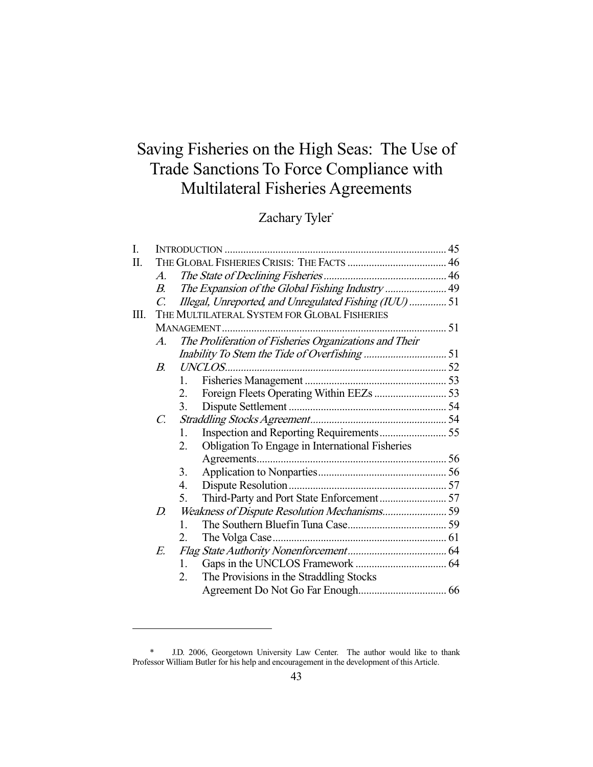# Saving Fisheries on the High Seas: The Use of Trade Sanctions To Force Compliance with Multilateral Fisheries Agreements

## Zachary Tyler\*

| I. |                                              |                                                        |  |  |  |
|----|----------------------------------------------|--------------------------------------------------------|--|--|--|
| Π. |                                              |                                                        |  |  |  |
|    | $\mathcal{A}_{\cdot}$                        |                                                        |  |  |  |
|    | $B_{\cdot}$                                  | The Expansion of the Global Fishing Industry  49       |  |  |  |
|    | C.                                           | Illegal, Unreported, and Unregulated Fishing (IUU)  51 |  |  |  |
| Ш. | THE MULTILATERAL SYSTEM FOR GLOBAL FISHERIES |                                                        |  |  |  |
|    |                                              |                                                        |  |  |  |
|    | $\mathcal{A}_{\cdot}$                        | The Proliferation of Fisheries Organizations and Their |  |  |  |
|    |                                              |                                                        |  |  |  |
|    | <i>B</i> .                                   |                                                        |  |  |  |
|    |                                              | 1.                                                     |  |  |  |
|    |                                              | 2.                                                     |  |  |  |
|    |                                              | 3.                                                     |  |  |  |
|    | $\mathcal{C}$ .                              |                                                        |  |  |  |
|    |                                              | $1_{-}$                                                |  |  |  |
|    |                                              | Obligation To Engage in International Fisheries<br>2.  |  |  |  |
|    |                                              |                                                        |  |  |  |
|    |                                              | 3.                                                     |  |  |  |
|    |                                              | 4.                                                     |  |  |  |
|    |                                              | 5.                                                     |  |  |  |
|    | D.                                           |                                                        |  |  |  |
|    |                                              | $\mathbf{1}$                                           |  |  |  |
|    |                                              | 2.                                                     |  |  |  |
|    | E.                                           |                                                        |  |  |  |
|    |                                              | $\mathbf{1}$ .                                         |  |  |  |
|    |                                              | 2.<br>The Provisions in the Straddling Stocks          |  |  |  |
|    |                                              |                                                        |  |  |  |
|    |                                              |                                                        |  |  |  |

 <sup>\*</sup> J.D. 2006, Georgetown University Law Center. The author would like to thank Professor William Butler for his help and encouragement in the development of this Article.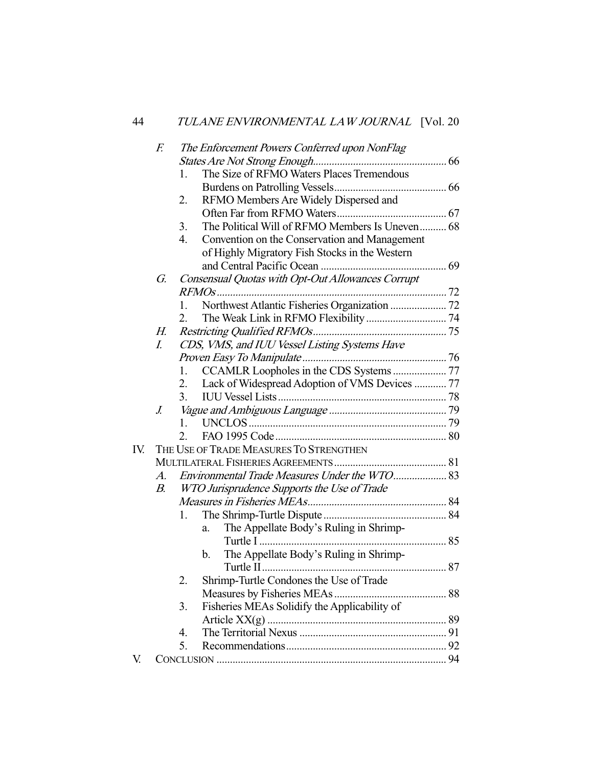|     | F.                                      |                  | The Enforcement Powers Conferred upon NonFlag     |  |  |  |
|-----|-----------------------------------------|------------------|---------------------------------------------------|--|--|--|
|     |                                         |                  |                                                   |  |  |  |
|     |                                         | 1.               | The Size of RFMO Waters Places Tremendous         |  |  |  |
|     |                                         |                  |                                                   |  |  |  |
|     |                                         | 2.               | RFMO Members Are Widely Dispersed and             |  |  |  |
|     |                                         |                  |                                                   |  |  |  |
|     |                                         | 3.               | The Political Will of RFMO Members Is Uneven 68   |  |  |  |
|     |                                         | $\overline{4}$ . | Convention on the Conservation and Management     |  |  |  |
|     |                                         |                  | of Highly Migratory Fish Stocks in the Western    |  |  |  |
|     |                                         |                  |                                                   |  |  |  |
|     | G.                                      |                  | Consensual Quotas with Opt-Out Allowances Corrupt |  |  |  |
|     |                                         |                  |                                                   |  |  |  |
|     |                                         | 1.               |                                                   |  |  |  |
|     |                                         | 2.               |                                                   |  |  |  |
|     | Н.                                      |                  |                                                   |  |  |  |
|     | I.                                      |                  | CDS, VMS, and IUU Vessel Listing Systems Have     |  |  |  |
|     |                                         |                  |                                                   |  |  |  |
|     |                                         | 1.               | CCAMLR Loopholes in the CDS Systems  77           |  |  |  |
|     |                                         | 2.               | Lack of Widespread Adoption of VMS Devices  77    |  |  |  |
|     |                                         | 3.               |                                                   |  |  |  |
|     | $\overline{J}$ .                        |                  |                                                   |  |  |  |
|     |                                         | 1.               |                                                   |  |  |  |
|     |                                         | 2.               |                                                   |  |  |  |
| IV. | THE USE OF TRADE MEASURES TO STRENGTHEN |                  |                                                   |  |  |  |
|     |                                         |                  |                                                   |  |  |  |
|     | $A_{\cdot}$                             |                  |                                                   |  |  |  |
|     | В.                                      |                  | WTO Jurisprudence Supports the Use of Trade       |  |  |  |
|     |                                         |                  |                                                   |  |  |  |
|     |                                         | 1.               |                                                   |  |  |  |
|     |                                         |                  | The Appellate Body's Ruling in Shrimp-<br>a.      |  |  |  |
|     |                                         |                  |                                                   |  |  |  |
|     |                                         |                  | The Appellate Body's Ruling in Shrimp-<br>b.      |  |  |  |
|     |                                         |                  |                                                   |  |  |  |
|     |                                         | 2.               | Shrimp-Turtle Condones the Use of Trade           |  |  |  |
|     |                                         |                  |                                                   |  |  |  |
|     |                                         | 3.               | Fisheries MEAs Solidify the Applicability of      |  |  |  |
|     |                                         |                  |                                                   |  |  |  |
|     |                                         | 4.               |                                                   |  |  |  |
|     |                                         | 5.               |                                                   |  |  |  |
| V.  |                                         |                  |                                                   |  |  |  |
|     |                                         |                  |                                                   |  |  |  |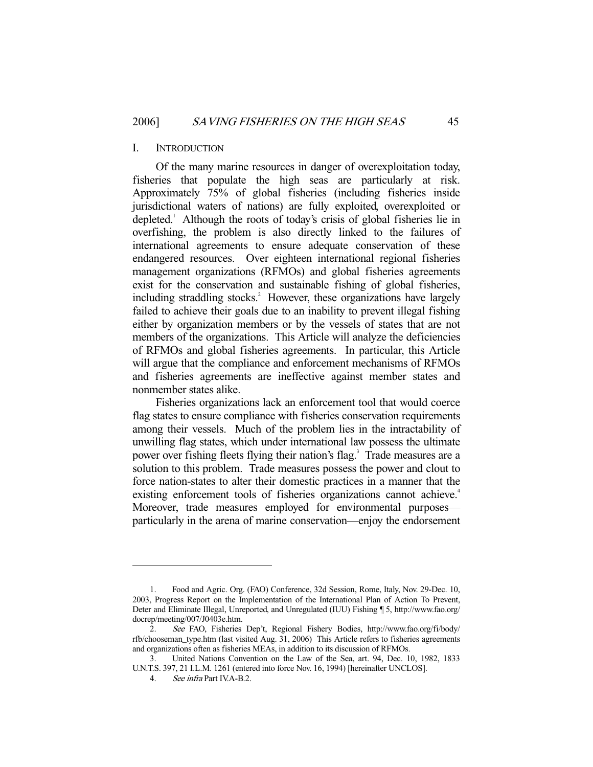#### I. INTRODUCTION

 Of the many marine resources in danger of overexploitation today, fisheries that populate the high seas are particularly at risk. Approximately 75% of global fisheries (including fisheries inside jurisdictional waters of nations) are fully exploited, overexploited or depleted.<sup>1</sup> Although the roots of today's crisis of global fisheries lie in overfishing, the problem is also directly linked to the failures of international agreements to ensure adequate conservation of these endangered resources. Over eighteen international regional fisheries management organizations (RFMOs) and global fisheries agreements exist for the conservation and sustainable fishing of global fisheries, including straddling stocks.<sup>2</sup> However, these organizations have largely failed to achieve their goals due to an inability to prevent illegal fishing either by organization members or by the vessels of states that are not members of the organizations. This Article will analyze the deficiencies of RFMOs and global fisheries agreements. In particular, this Article will argue that the compliance and enforcement mechanisms of RFMOs and fisheries agreements are ineffective against member states and nonmember states alike.

 Fisheries organizations lack an enforcement tool that would coerce flag states to ensure compliance with fisheries conservation requirements among their vessels. Much of the problem lies in the intractability of unwilling flag states, which under international law possess the ultimate power over fishing fleets flying their nation's flag.<sup>3</sup> Trade measures are a solution to this problem. Trade measures possess the power and clout to force nation-states to alter their domestic practices in a manner that the existing enforcement tools of fisheries organizations cannot achieve.<sup>4</sup> Moreover, trade measures employed for environmental purposes particularly in the arena of marine conservation—enjoy the endorsement

 <sup>1.</sup> Food and Agric. Org. (FAO) Conference, 32d Session, Rome, Italy, Nov. 29-Dec. 10, 2003, Progress Report on the Implementation of the International Plan of Action To Prevent, Deter and Eliminate Illegal, Unreported, and Unregulated (IUU) Fishing ¶ 5, http://www.fao.org/ docrep/meeting/007/J0403e.htm.

See FAO, Fisheries Dep't, Regional Fishery Bodies, http://www.fao.org/fi/body/ rfb/chooseman\_type.htm (last visited Aug. 31, 2006) This Article refers to fisheries agreements and organizations often as fisheries MEAs, in addition to its discussion of RFMOs.

 <sup>3.</sup> United Nations Convention on the Law of the Sea, art. 94, Dec. 10, 1982, 1833 U.N.T.S. 397, 21 I.L.M. 1261 (entered into force Nov. 16, 1994) [hereinafter UNCLOS].

 <sup>4.</sup> See infra Part IV.A-B.2.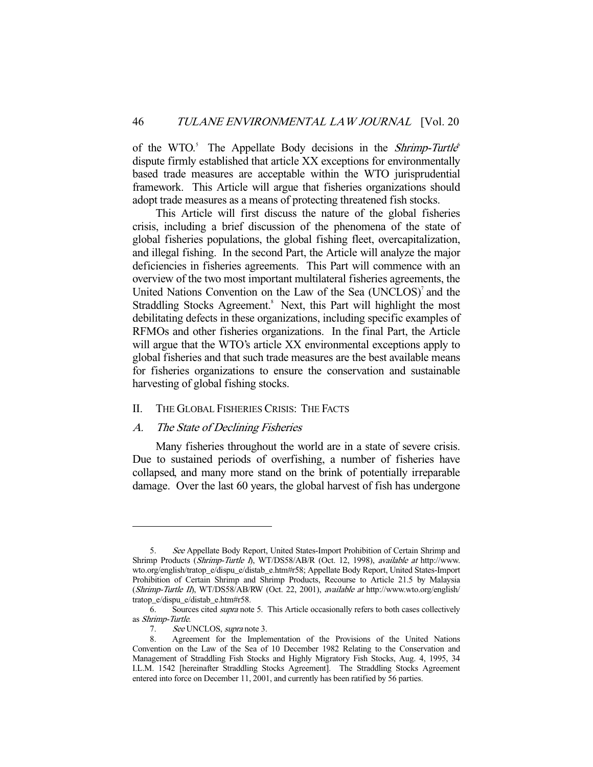of the WTO.<sup>5</sup> The Appellate Body decisions in the *Shrimp-Turtle*<sup>6</sup> dispute firmly established that article XX exceptions for environmentally based trade measures are acceptable within the WTO jurisprudential framework. This Article will argue that fisheries organizations should adopt trade measures as a means of protecting threatened fish stocks.

 This Article will first discuss the nature of the global fisheries crisis, including a brief discussion of the phenomena of the state of global fisheries populations, the global fishing fleet, overcapitalization, and illegal fishing. In the second Part, the Article will analyze the major deficiencies in fisheries agreements. This Part will commence with an overview of the two most important multilateral fisheries agreements, the United Nations Convention on the Law of the Sea (UNCLOS)<sup>7</sup> and the Straddling Stocks Agreement.<sup>8</sup> Next, this Part will highlight the most debilitating defects in these organizations, including specific examples of RFMOs and other fisheries organizations. In the final Part, the Article will argue that the WTO's article XX environmental exceptions apply to global fisheries and that such trade measures are the best available means for fisheries organizations to ensure the conservation and sustainable harvesting of global fishing stocks.

#### II. THE GLOBAL FISHERIES CRISIS: THE FACTS

## A. The State of Declining Fisheries

 Many fisheries throughout the world are in a state of severe crisis. Due to sustained periods of overfishing, a number of fisheries have collapsed, and many more stand on the brink of potentially irreparable damage. Over the last 60 years, the global harvest of fish has undergone

<sup>5.</sup> See Appellate Body Report, United States-Import Prohibition of Certain Shrimp and Shrimp Products (Shrimp-Turtle I), WT/DS58/AB/R (Oct. 12, 1998), available at http://www. wto.org/english/tratop\_e/dispu\_e/distab\_e.htm#r58; Appellate Body Report, United States-Import Prohibition of Certain Shrimp and Shrimp Products, Recourse to Article 21.5 by Malaysia (Shrimp-Turtle II), WT/DS58/AB/RW (Oct. 22, 2001), available at http://www.wto.org/english/ tratop\_e/dispu\_e/distab\_e.htm#r58.

 <sup>6.</sup> Sources cited supra note 5. This Article occasionally refers to both cases collectively as Shrimp-Turtle.

 <sup>7.</sup> See UNCLOS, supra note 3.

 <sup>8.</sup> Agreement for the Implementation of the Provisions of the United Nations Convention on the Law of the Sea of 10 December 1982 Relating to the Conservation and Management of Straddling Fish Stocks and Highly Migratory Fish Stocks, Aug. 4, 1995, 34 I.L.M. 1542 [hereinafter Straddling Stocks Agreement]. The Straddling Stocks Agreement entered into force on December 11, 2001, and currently has been ratified by 56 parties.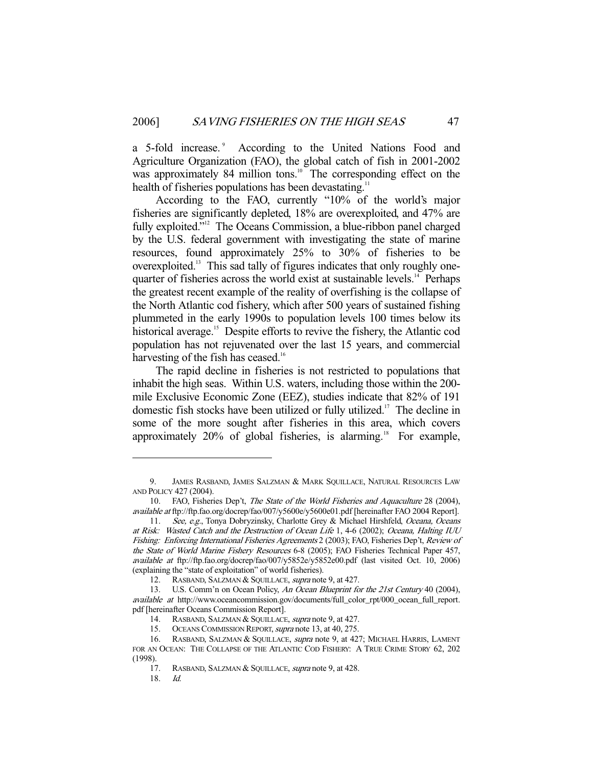a 5-fold increase.<sup>9</sup> According to the United Nations Food and Agriculture Organization (FAO), the global catch of fish in 2001-2002 was approximately 84 million tons.<sup>10</sup> The corresponding effect on the health of fisheries populations has been devastating.<sup>11</sup>

 According to the FAO, currently "10% of the world's major fisheries are significantly depleted, 18% are overexploited, and 47% are fully exploited."<sup>12</sup> The Oceans Commission, a blue-ribbon panel charged by the U.S. federal government with investigating the state of marine resources, found approximately 25% to 30% of fisheries to be overexploited.13 This sad tally of figures indicates that only roughly onequarter of fisheries across the world exist at sustainable levels.<sup>14</sup> Perhaps the greatest recent example of the reality of overfishing is the collapse of the North Atlantic cod fishery, which after 500 years of sustained fishing plummeted in the early 1990s to population levels 100 times below its historical average.<sup>15</sup> Despite efforts to revive the fishery, the Atlantic cod population has not rejuvenated over the last 15 years, and commercial harvesting of the fish has ceased.<sup>16</sup>

 The rapid decline in fisheries is not restricted to populations that inhabit the high seas. Within U.S. waters, including those within the 200 mile Exclusive Economic Zone (EEZ), studies indicate that 82% of 191 domestic fish stocks have been utilized or fully utilized.<sup>17</sup> The decline in some of the more sought after fisheries in this area, which covers approximately  $20\%$  of global fisheries, is alarming.<sup>18</sup> For example,

<sup>9.</sup> JAMES RASBAND, JAMES SALZMAN & MARK SQUILLACE, NATURAL RESOURCES LAW AND POLICY 427 (2004).

 <sup>10.</sup> FAO, Fisheries Dep't, The State of the World Fisheries and Aquaculture 28 (2004), available at ftp://ftp.fao.org/docrep/fao/007/y5600e/y5600e01.pdf [hereinafter FAO 2004 Report].

<sup>11.</sup> See, e.g., Tonya Dobryzinsky, Charlotte Grey & Michael Hirshfeld, Oceana, Oceans at Risk: Wasted Catch and the Destruction of Ocean Life 1, 4-6 (2002); Oceana, Halting IUU Fishing: Enforcing International Fisheries Agreements 2 (2003); FAO, Fisheries Dep't, Review of the State of World Marine Fishery Resources 6-8 (2005); FAO Fisheries Technical Paper 457, available at ftp://ftp.fao.org/docrep/fao/007/y5852e/y5852e00.pdf (last visited Oct. 10, 2006) (explaining the "state of exploitation" of world fisheries).

<sup>12.</sup> RASBAND, SALZMAN & SQUILLACE, supra note 9, at 427.

<sup>13.</sup> U.S. Comm'n on Ocean Policy, An Ocean Blueprint for the 21st Century 40 (2004), available at http://www.oceancommission.gov/documents/full\_color\_rpt/000\_ocean\_full\_report. pdf [hereinafter Oceans Commission Report].

<sup>14.</sup> RASBAND, SALZMAN & SQUILLACE, supra note 9, at 427.

<sup>15.</sup> OCEANS COMMISSION REPORT, *supra* note 13, at 40, 275.

<sup>16.</sup> RASBAND, SALZMAN & SQUILLACE, *supra* note 9, at 427; MICHAEL HARRIS, LAMENT FOR AN OCEAN: THE COLLAPSE OF THE ATLANTIC COD FISHERY: A TRUE CRIME STORY 62, 202  $(1998)$ .<br>17.

RASBAND, SALZMAN & SQUILLACE, *supra* note 9, at 428.

 <sup>18.</sup> Id.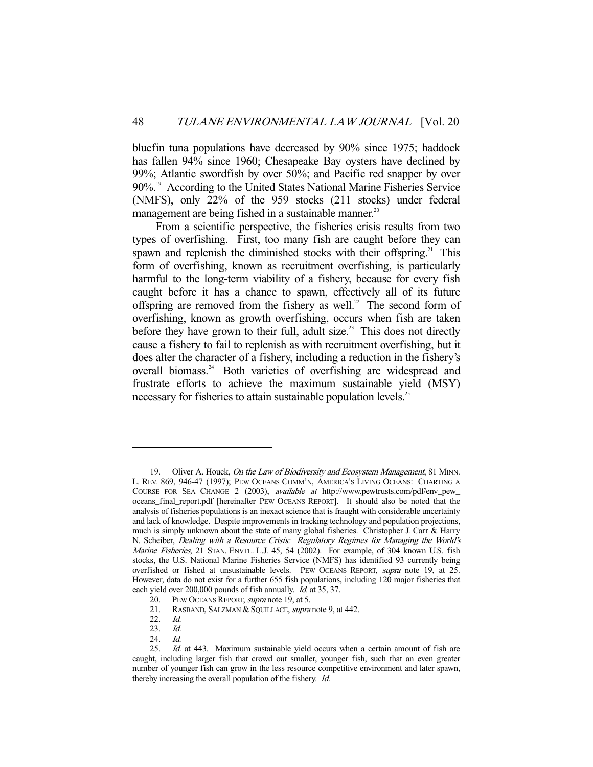bluefin tuna populations have decreased by 90% since 1975; haddock has fallen 94% since 1960; Chesapeake Bay oysters have declined by 99%; Atlantic swordfish by over 50%; and Pacific red snapper by over 90%.<sup>19</sup> According to the United States National Marine Fisheries Service (NMFS), only 22% of the 959 stocks (211 stocks) under federal management are being fished in a sustainable manner.<sup>20</sup>

 From a scientific perspective, the fisheries crisis results from two types of overfishing. First, too many fish are caught before they can spawn and replenish the diminished stocks with their offspring.<sup>21</sup> This form of overfishing, known as recruitment overfishing, is particularly harmful to the long-term viability of a fishery, because for every fish caught before it has a chance to spawn, effectively all of its future offspring are removed from the fishery as well.<sup>22</sup> The second form of overfishing, known as growth overfishing, occurs when fish are taken before they have grown to their full, adult size.<sup>23</sup> This does not directly cause a fishery to fail to replenish as with recruitment overfishing, but it does alter the character of a fishery, including a reduction in the fishery's overall biomass.<sup>24</sup> Both varieties of overfishing are widespread and frustrate efforts to achieve the maximum sustainable yield (MSY) necessary for fisheries to attain sustainable population levels.<sup>25</sup>

<sup>19.</sup> Oliver A. Houck, On the Law of Biodiversity and Ecosystem Management, 81 MINN. L. REV. 869, 946-47 (1997); PEW OCEANS COMM'N, AMERICA'S LIVING OCEANS: CHARTING A COURSE FOR SEA CHANGE 2 (2003), available at http://www.pewtrusts.com/pdf/env\_pew\_ oceans\_final\_report.pdf [hereinafter PEW OCEANS REPORT]. It should also be noted that the analysis of fisheries populations is an inexact science that is fraught with considerable uncertainty and lack of knowledge. Despite improvements in tracking technology and population projections, much is simply unknown about the state of many global fisheries. Christopher J. Carr & Harry N. Scheiber, Dealing with a Resource Crisis: Regulatory Regimes for Managing the World's Marine Fisheries, 21 STAN. ENVTL. L.J. 45, 54 (2002). For example, of 304 known U.S. fish stocks, the U.S. National Marine Fisheries Service (NMFS) has identified 93 currently being overfished or fished at unsustainable levels. PEW OCEANS REPORT, supra note 19, at 25. However, data do not exist for a further 655 fish populations, including 120 major fisheries that each yield over 200,000 pounds of fish annually. Id. at 35, 37.

<sup>20.</sup> PEW OCEANS REPORT, *supra* note 19, at 5.

<sup>21.</sup> RASBAND, SALZMAN & SQUILLACE, supra note 9, at 442.

 <sup>22.</sup> Id.

 <sup>23.</sup> Id.

<sup>24.</sup> *Id.*<br>25. *Id.* 

Id. at 443. Maximum sustainable yield occurs when a certain amount of fish are caught, including larger fish that crowd out smaller, younger fish, such that an even greater number of younger fish can grow in the less resource competitive environment and later spawn, thereby increasing the overall population of the fishery. Id.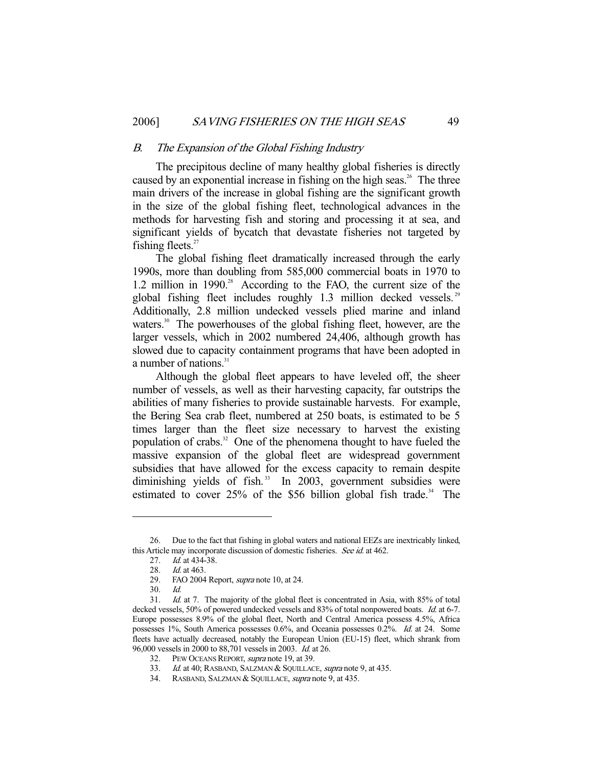#### B. The Expansion of the Global Fishing Industry

 The precipitous decline of many healthy global fisheries is directly caused by an exponential increase in fishing on the high seas.<sup>26</sup> The three main drivers of the increase in global fishing are the significant growth in the size of the global fishing fleet, technological advances in the methods for harvesting fish and storing and processing it at sea, and significant yields of bycatch that devastate fisheries not targeted by fishing fleets. $27$ 

 The global fishing fleet dramatically increased through the early 1990s, more than doubling from 585,000 commercial boats in 1970 to 1.2 million in 1990.<sup>28</sup> According to the FAO, the current size of the global fishing fleet includes roughly 1.3 million decked vessels.<sup>29</sup> Additionally, 2.8 million undecked vessels plied marine and inland waters.<sup>30</sup> The powerhouses of the global fishing fleet, however, are the larger vessels, which in 2002 numbered 24,406, although growth has slowed due to capacity containment programs that have been adopted in a number of nations. $31$ 

 Although the global fleet appears to have leveled off, the sheer number of vessels, as well as their harvesting capacity, far outstrips the abilities of many fisheries to provide sustainable harvests. For example, the Bering Sea crab fleet, numbered at 250 boats, is estimated to be 5 times larger than the fleet size necessary to harvest the existing population of crabs.<sup>32</sup> One of the phenomena thought to have fueled the massive expansion of the global fleet are widespread government subsidies that have allowed for the excess capacity to remain despite diminishing yields of fish. $33$  In 2003, government subsidies were estimated to cover  $25\%$  of the \$56 billion global fish trade.<sup>34</sup> The

 <sup>26.</sup> Due to the fact that fishing in global waters and national EEZs are inextricably linked, this Article may incorporate discussion of domestic fisheries. See id. at 462.

<sup>27.</sup> *Id.* at 434-38.

<sup>28.</sup> *Id.* at 463.

<sup>29.</sup> FAO 2004 Report, *supra* note 10, at 24.

 <sup>30.</sup> Id.

 <sup>31.</sup> Id. at 7. The majority of the global fleet is concentrated in Asia, with 85% of total decked vessels, 50% of powered undecked vessels and 83% of total nonpowered boats. Id. at 6-7. Europe possesses 8.9% of the global fleet, North and Central America possess 4.5%, Africa possesses 1%, South America possesses 0.6%, and Oceania possesses 0.2%. Id. at 24. Some fleets have actually decreased, notably the European Union (EU-15) fleet, which shrank from 96,000 vessels in 2000 to 88,701 vessels in 2003. Id. at 26.

<sup>32.</sup> PEW OCEANS REPORT, *supra* note 19, at 39.

<sup>33.</sup> Id. at 40; RASBAND, SALZMAN & SQUILLACE, supra note 9, at 435.

<sup>34.</sup> RASBAND, SALZMAN & SQUILLACE, *supra* note 9, at 435.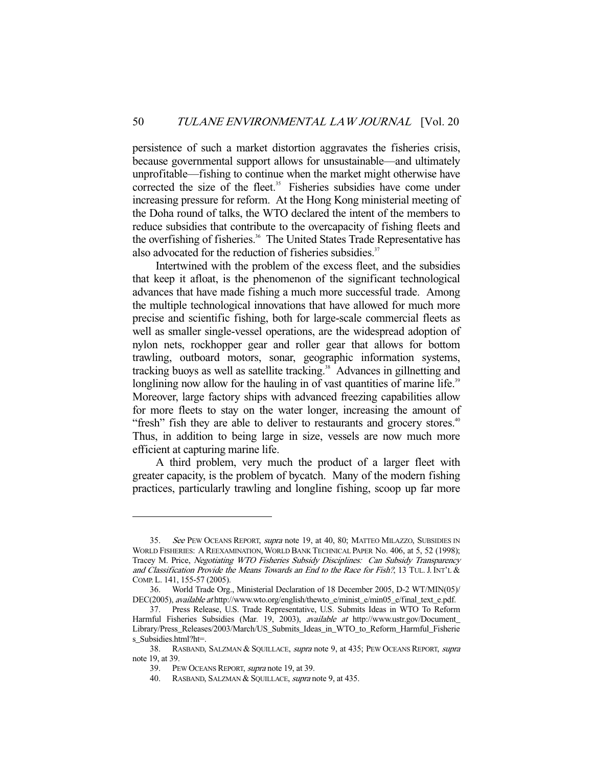persistence of such a market distortion aggravates the fisheries crisis, because governmental support allows for unsustainable—and ultimately unprofitable—fishing to continue when the market might otherwise have corrected the size of the fleet.<sup>35</sup> Fisheries subsidies have come under increasing pressure for reform. At the Hong Kong ministerial meeting of the Doha round of talks, the WTO declared the intent of the members to reduce subsidies that contribute to the overcapacity of fishing fleets and the overfishing of fisheries.<sup>36</sup> The United States Trade Representative has also advocated for the reduction of fisheries subsidies.<sup>37</sup>

 Intertwined with the problem of the excess fleet, and the subsidies that keep it afloat, is the phenomenon of the significant technological advances that have made fishing a much more successful trade. Among the multiple technological innovations that have allowed for much more precise and scientific fishing, both for large-scale commercial fleets as well as smaller single-vessel operations, are the widespread adoption of nylon nets, rockhopper gear and roller gear that allows for bottom trawling, outboard motors, sonar, geographic information systems, tracking buoys as well as satellite tracking.<sup>38</sup> Advances in gillnetting and longlining now allow for the hauling in of vast quantities of marine life.<sup>39</sup> Moreover, large factory ships with advanced freezing capabilities allow for more fleets to stay on the water longer, increasing the amount of "fresh" fish they are able to deliver to restaurants and grocery stores.<sup>40</sup> Thus, in addition to being large in size, vessels are now much more efficient at capturing marine life.

 A third problem, very much the product of a larger fleet with greater capacity, is the problem of bycatch. Many of the modern fishing practices, particularly trawling and longline fishing, scoop up far more

<sup>35.</sup> See PEW OCEANS REPORT, supra note 19, at 40, 80; MATTEO MILAZZO, SUBSIDIES IN WORLD FISHERIES: A REEXAMINATION,WORLD BANK TECHNICAL PAPER No. 406, at 5, 52 (1998); Tracey M. Price, Negotiating WTO Fisheries Subsidy Disciplines: Can Subsidy Transparency and Classification Provide the Means Towards an End to the Race for Fish?, 13 TUL. J. INT'L & COMP. L. 141, 155-57 (2005).

 <sup>36.</sup> World Trade Org., Ministerial Declaration of 18 December 2005, D-2 WT/MIN(05)/ DEC(2005), *available at* http://www.wto.org/english/thewto\_e/minist\_e/min05\_e/final\_text\_e.pdf.

 <sup>37.</sup> Press Release, U.S. Trade Representative, U.S. Submits Ideas in WTO To Reform Harmful Fisheries Subsidies (Mar. 19, 2003), available at http://www.ustr.gov/Document Library/Press\_Releases/2003/March/US\_Submits\_Ideas\_in\_WTO\_to\_Reform\_Harmful\_Fisherie s\_Subsidies.html?ht=.

<sup>38.</sup> RASBAND, SALZMAN & SQUILLACE, supra note 9, at 435; PEW OCEANS REPORT, supra note 19, at 39.

 <sup>39.</sup> PEW OCEANS REPORT, supra note 19, at 39.

<sup>40.</sup> RASBAND, SALZMAN & SQUILLACE, supra note 9, at 435.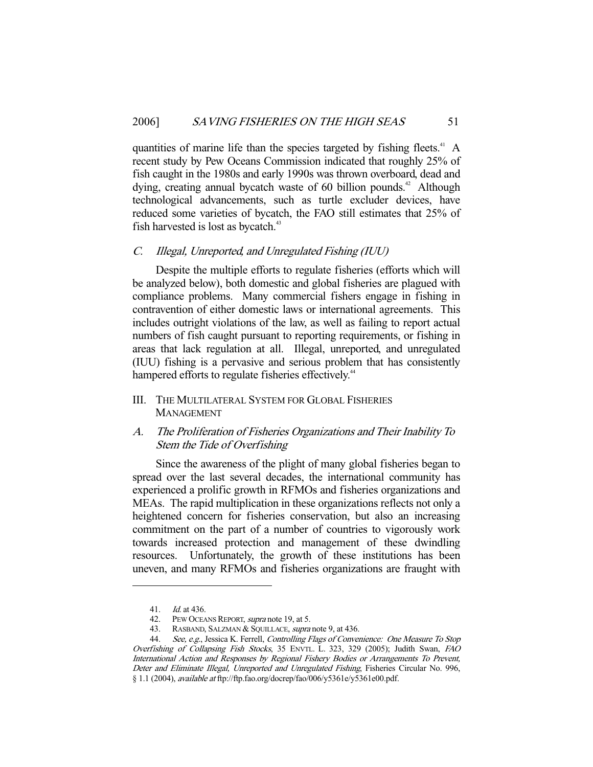quantities of marine life than the species targeted by fishing fleets.<sup>41</sup> A recent study by Pew Oceans Commission indicated that roughly 25% of fish caught in the 1980s and early 1990s was thrown overboard, dead and dying, creating annual bycatch waste of 60 billion pounds.<sup>42</sup> Although technological advancements, such as turtle excluder devices, have reduced some varieties of bycatch, the FAO still estimates that 25% of fish harvested is lost as bycatch.<sup>43</sup>

## C. Illegal, Unreported, and Unregulated Fishing (IUU)

 Despite the multiple efforts to regulate fisheries (efforts which will be analyzed below), both domestic and global fisheries are plagued with compliance problems. Many commercial fishers engage in fishing in contravention of either domestic laws or international agreements. This includes outright violations of the law, as well as failing to report actual numbers of fish caught pursuant to reporting requirements, or fishing in areas that lack regulation at all. Illegal, unreported, and unregulated (IUU) fishing is a pervasive and serious problem that has consistently hampered efforts to regulate fisheries effectively.<sup>44</sup>

III. THE MULTILATERAL SYSTEM FOR GLOBAL FISHERIES MANAGEMENT

## A. The Proliferation of Fisheries Organizations and Their Inability To Stem the Tide of Overfishing

 Since the awareness of the plight of many global fisheries began to spread over the last several decades, the international community has experienced a prolific growth in RFMOs and fisheries organizations and MEAs. The rapid multiplication in these organizations reflects not only a heightened concern for fisheries conservation, but also an increasing commitment on the part of a number of countries to vigorously work towards increased protection and management of these dwindling resources. Unfortunately, the growth of these institutions has been uneven, and many RFMOs and fisheries organizations are fraught with

 <sup>41.</sup> Id. at 436.

<sup>42.</sup> PEW OCEANS REPORT, *supra* note 19, at 5.

<sup>43.</sup> RASBAND, SALZMAN & SQUILLACE, *supra* note 9, at 436.

<sup>44.</sup> See, e.g., Jessica K. Ferrell, Controlling Flags of Convenience: One Measure To Stop Overfishing of Collapsing Fish Stocks, 35 ENVTL. L. 323, 329 (2005); Judith Swan, FAO International Action and Responses by Regional Fishery Bodies or Arrangements To Prevent, Deter and Eliminate Illegal, Unreported and Unregulated Fishing, Fisheries Circular No. 996, § 1.1 (2004), available at ftp://ftp.fao.org/docrep/fao/006/y5361e/y5361e00.pdf.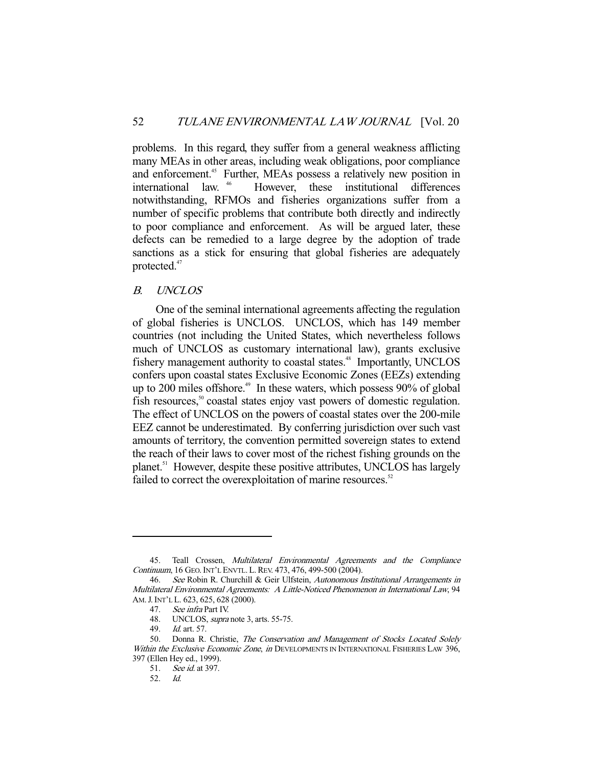problems. In this regard, they suffer from a general weakness afflicting many MEAs in other areas, including weak obligations, poor compliance and enforcement.<sup>45</sup> Further, MEAs possess a relatively new position in international law. 46 However, these institutional differences notwithstanding, RFMOs and fisheries organizations suffer from a number of specific problems that contribute both directly and indirectly to poor compliance and enforcement. As will be argued later, these defects can be remedied to a large degree by the adoption of trade sanctions as a stick for ensuring that global fisheries are adequately protected.<sup>47</sup>

## B. UNCLOS

 One of the seminal international agreements affecting the regulation of global fisheries is UNCLOS. UNCLOS, which has 149 member countries (not including the United States, which nevertheless follows much of UNCLOS as customary international law), grants exclusive fishery management authority to coastal states.<sup>48</sup> Importantly, UNCLOS confers upon coastal states Exclusive Economic Zones (EEZs) extending up to 200 miles offshore.<sup>49</sup> In these waters, which possess 90% of global fish resources,<sup>50</sup> coastal states enjoy vast powers of domestic regulation. The effect of UNCLOS on the powers of coastal states over the 200-mile EEZ cannot be underestimated. By conferring jurisdiction over such vast amounts of territory, the convention permitted sovereign states to extend the reach of their laws to cover most of the richest fishing grounds on the planet.<sup>51</sup> However, despite these positive attributes, UNCLOS has largely failed to correct the overexploitation of marine resources.<sup>52</sup>

<sup>45.</sup> Teall Crossen, Multilateral Environmental Agreements and the Compliance Continuum, 16 GEO.INT'L ENVTL. L.REV. 473, 476, 499-500 (2004).

<sup>46.</sup> See Robin R. Churchill & Geir Ulfstein, Autonomous Institutional Arrangements in Multilateral Environmental Agreements: A Little-Noticed Phenomenon in International Law, 94 AM.J.INT'L L. 623, 625, 628 (2000).

 <sup>47.</sup> See infra Part IV.

<sup>48.</sup> UNCLOS, *supra* note 3, arts. 55-75.

 <sup>49.</sup> Id. art. 57.

<sup>50.</sup> Donna R. Christie, The Conservation and Management of Stocks Located Solely Within the Exclusive Economic Zone, in DEVELOPMENTS IN INTERNATIONAL FISHERIES LAW 396, 397 (Ellen Hey ed., 1999).

 <sup>51.</sup> See id. at 397.

 <sup>52.</sup> Id.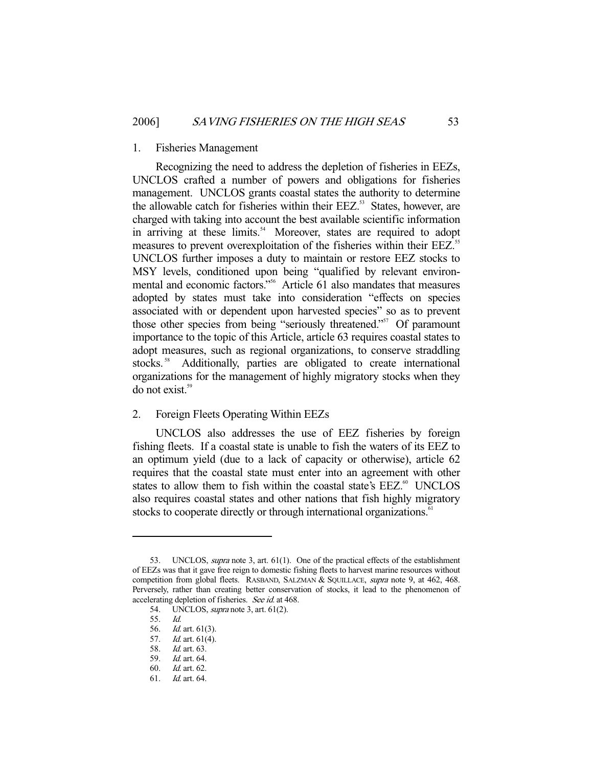#### 1. Fisheries Management

 Recognizing the need to address the depletion of fisheries in EEZs, UNCLOS crafted a number of powers and obligations for fisheries management. UNCLOS grants coastal states the authority to determine the allowable catch for fisheries within their EEZ.<sup>53</sup> States, however, are charged with taking into account the best available scientific information in arriving at these limits.<sup>54</sup> Moreover, states are required to adopt measures to prevent overexploitation of the fisheries within their EEZ.<sup>55</sup> UNCLOS further imposes a duty to maintain or restore EEZ stocks to MSY levels, conditioned upon being "qualified by relevant environmental and economic factors."<sup>56</sup> Article 61 also mandates that measures adopted by states must take into consideration "effects on species associated with or dependent upon harvested species" so as to prevent those other species from being "seriously threatened."<sup>57</sup> Of paramount importance to the topic of this Article, article 63 requires coastal states to adopt measures, such as regional organizations, to conserve straddling stocks.<sup>58</sup> Additionally, parties are obligated to create international organizations for the management of highly migratory stocks when they do not exist.<sup>59</sup>

## 2. Foreign Fleets Operating Within EEZs

 UNCLOS also addresses the use of EEZ fisheries by foreign fishing fleets. If a coastal state is unable to fish the waters of its EEZ to an optimum yield (due to a lack of capacity or otherwise), article 62 requires that the coastal state must enter into an agreement with other states to allow them to fish within the coastal state's EEZ.<sup>60</sup> UNCLOS also requires coastal states and other nations that fish highly migratory stocks to cooperate directly or through international organizations.<sup>61</sup>

<sup>53.</sup> UNCLOS, *supra* note 3, art. 61(1). One of the practical effects of the establishment of EEZs was that it gave free reign to domestic fishing fleets to harvest marine resources without competition from global fleets. RASBAND, SALZMAN & SQUILLACE, *supra* note 9, at 462, 468. Perversely, rather than creating better conservation of stocks, it lead to the phenomenon of accelerating depletion of fisheries. See id. at 468.

 <sup>54.</sup> UNCLOS, supra note 3, art. 61(2).

 <sup>55.</sup> Id.

 <sup>56.</sup> Id. art. 61(3).

 <sup>57.</sup> Id. art. 61(4).

 <sup>58.</sup> Id. art. 63.

 <sup>59.</sup> Id. art. 64.

 <sup>60.</sup> Id. art. 62.

 <sup>61.</sup> Id. art. 64.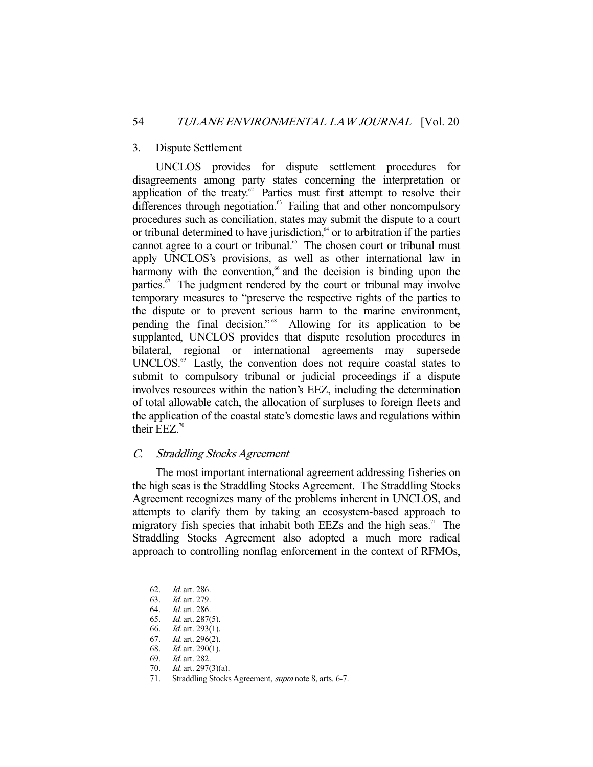#### 3. Dispute Settlement

 UNCLOS provides for dispute settlement procedures for disagreements among party states concerning the interpretation or application of the treaty. $\degree$  Parties must first attempt to resolve their differences through negotiation.<sup>63</sup> Failing that and other noncompulsory procedures such as conciliation, states may submit the dispute to a court or tribunal determined to have jurisdiction, $64$  or to arbitration if the parties cannot agree to a court or tribunal.<sup>65</sup> The chosen court or tribunal must apply UNCLOS's provisions, as well as other international law in harmony with the convention, $66$  and the decision is binding upon the parties. $\mathbf{F}$  The judgment rendered by the court or tribunal may involve temporary measures to "preserve the respective rights of the parties to the dispute or to prevent serious harm to the marine environment, pending the final decision." 68 Allowing for its application to be supplanted, UNCLOS provides that dispute resolution procedures in bilateral, regional or international agreements may supersede UNCLOS.<sup>69</sup> Lastly, the convention does not require coastal states to submit to compulsory tribunal or judicial proceedings if a dispute involves resources within the nation's EEZ, including the determination of total allowable catch, the allocation of surpluses to foreign fleets and the application of the coastal state's domestic laws and regulations within their EEZ.<sup>70</sup>

## C. Straddling Stocks Agreement

 The most important international agreement addressing fisheries on the high seas is the Straddling Stocks Agreement. The Straddling Stocks Agreement recognizes many of the problems inherent in UNCLOS, and attempts to clarify them by taking an ecosystem-based approach to migratory fish species that inhabit both EEZs and the high seas.<sup>71</sup> The Straddling Stocks Agreement also adopted a much more radical approach to controlling nonflag enforcement in the context of RFMOs,

 <sup>62.</sup> Id. art. 286.

 <sup>63.</sup> Id. art. 279.

 <sup>64.</sup> Id. art. 286.

<sup>65.</sup> *Id.* art. 287(5).<br>66. *Id.* art. 293(1).

*Id.* art. 293 $(1)$ .

 <sup>67.</sup> Id. art. 296(2).

<sup>68.</sup> *Id.* art. 290(1).

 <sup>69.</sup> Id. art. 282.

 <sup>70.</sup> Id. art. 297(3)(a).

 <sup>71.</sup> Straddling Stocks Agreement, supra note 8, arts. 6-7.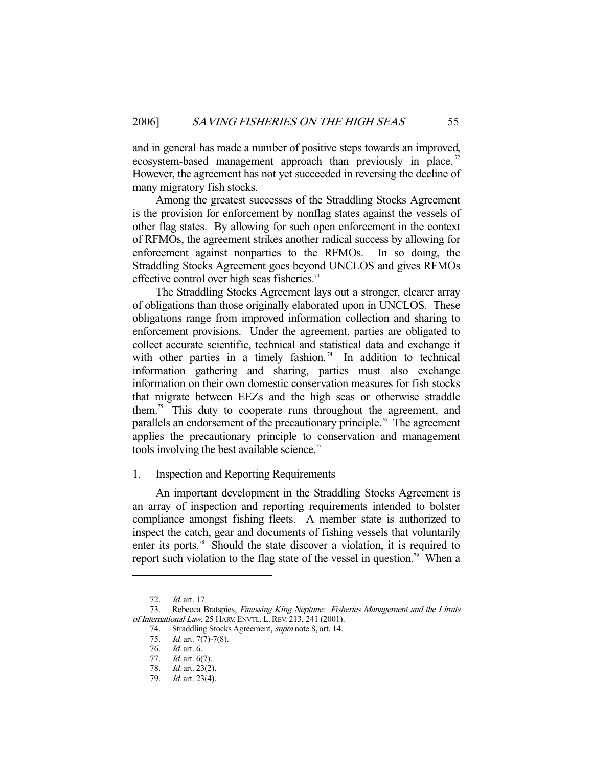and in general has made a number of positive steps towards an improved, ecosystem-based management approach than previously in place.<sup>72</sup> However, the agreement has not yet succeeded in reversing the decline of many migratory fish stocks.

 Among the greatest successes of the Straddling Stocks Agreement is the provision for enforcement by nonflag states against the vessels of other flag states. By allowing for such open enforcement in the context of RFMOs, the agreement strikes another radical success by allowing for enforcement against nonparties to the RFMOs. In so doing, the Straddling Stocks Agreement goes beyond UNCLOS and gives RFMOs effective control over high seas fisheries.<sup>73</sup>

 The Straddling Stocks Agreement lays out a stronger, clearer array of obligations than those originally elaborated upon in UNCLOS. These obligations range from improved information collection and sharing to enforcement provisions. Under the agreement, parties are obligated to collect accurate scientific, technical and statistical data and exchange it with other parties in a timely fashion.<sup>74</sup> In addition to technical information gathering and sharing, parties must also exchange information on their own domestic conservation measures for fish stocks that migrate between EEZs and the high seas or otherwise straddle them.75 This duty to cooperate runs throughout the agreement, and parallels an endorsement of the precautionary principle.<sup>76</sup> The agreement applies the precautionary principle to conservation and management tools involving the best available science. $\alpha$ <sup>77</sup>

## 1. Inspection and Reporting Requirements

 An important development in the Straddling Stocks Agreement is an array of inspection and reporting requirements intended to bolster compliance amongst fishing fleets. A member state is authorized to inspect the catch, gear and documents of fishing vessels that voluntarily enter its ports.<sup>78</sup> Should the state discover a violation, it is required to report such violation to the flag state of the vessel in question.<sup>79</sup> When a

 <sup>72.</sup> Id. art. 17.

<sup>73.</sup> Rebecca Bratspies, Finessing King Neptune: Fisheries Management and the Limits of International Law, 25 HARV. ENVTL. L.REV. 213, 241 (2001).

<sup>74.</sup> Straddling Stocks Agreement, *supra* note 8, art. 14.

<sup>75.</sup> *Id.* art. 7(7)-7(8).

 <sup>76.</sup> Id. art. 6.

 <sup>77.</sup> Id. art. 6(7).

 <sup>78.</sup> Id. art. 23(2).

 <sup>79.</sup> Id. art. 23(4).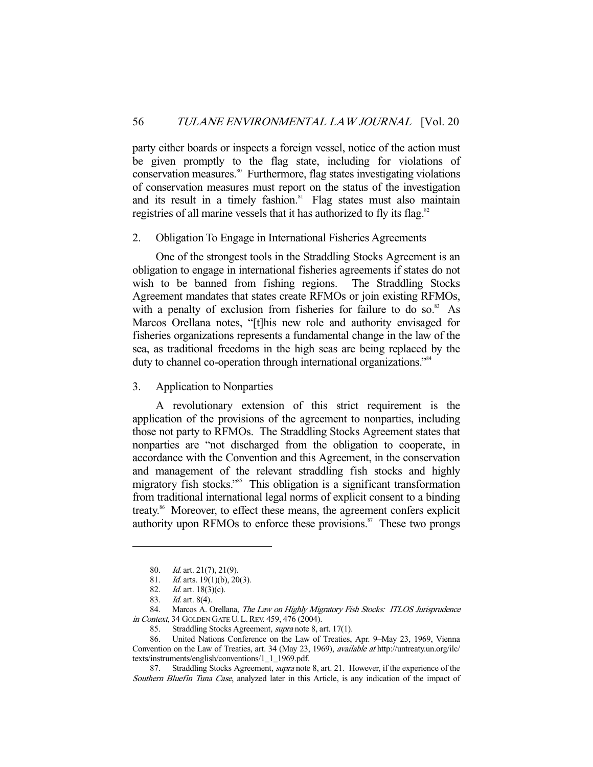party either boards or inspects a foreign vessel, notice of the action must be given promptly to the flag state, including for violations of conservation measures.<sup>80</sup> Furthermore, flag states investigating violations of conservation measures must report on the status of the investigation and its result in a timely fashion.<sup>81</sup> Flag states must also maintain registries of all marine vessels that it has authorized to fly its flag.<sup>82</sup>

#### 2. Obligation To Engage in International Fisheries Agreements

 One of the strongest tools in the Straddling Stocks Agreement is an obligation to engage in international fisheries agreements if states do not wish to be banned from fishing regions. The Straddling Stocks Agreement mandates that states create RFMOs or join existing RFMOs, with a penalty of exclusion from fisheries for failure to do so. $83$  As Marcos Orellana notes, "[t]his new role and authority envisaged for fisheries organizations represents a fundamental change in the law of the sea, as traditional freedoms in the high seas are being replaced by the duty to channel co-operation through international organizations."<sup>84</sup>

3. Application to Nonparties

 A revolutionary extension of this strict requirement is the application of the provisions of the agreement to nonparties, including those not party to RFMOs. The Straddling Stocks Agreement states that nonparties are "not discharged from the obligation to cooperate, in accordance with the Convention and this Agreement, in the conservation and management of the relevant straddling fish stocks and highly migratory fish stocks."<sup>85</sup> This obligation is a significant transformation from traditional international legal norms of explicit consent to a binding treaty.<sup>86</sup> Moreover, to effect these means, the agreement confers explicit authority upon RFMOs to enforce these provisions. $\mathbf{S}^7$  These two prongs

<sup>80.</sup> *Id.* art. 21(7), 21(9).

<sup>81.</sup> *Id.* arts. 19(1)(b), 20(3).

 <sup>82.</sup> Id. art. 18(3)(c).

 <sup>83.</sup> Id. art. 8(4).

<sup>84.</sup> Marcos A. Orellana, The Law on Highly Migratory Fish Stocks: ITLOS Jurisprudence in Context, 34 GOLDEN GATE U. L.REV. 459, 476 (2004).

<sup>85.</sup> Straddling Stocks Agreement, *supra* note 8, art. 17(1).

 <sup>86.</sup> United Nations Conference on the Law of Treaties, Apr. 9–May 23, 1969, Vienna Convention on the Law of Treaties, art. 34 (May 23, 1969), available at http://untreaty.un.org/ilc/ texts/instruments/english/conventions/1\_1\_1969.pdf.

<sup>87.</sup> Straddling Stocks Agreement, *supra* note 8, art. 21. However, if the experience of the Southern Bluefin Tuna Case, analyzed later in this Article, is any indication of the impact of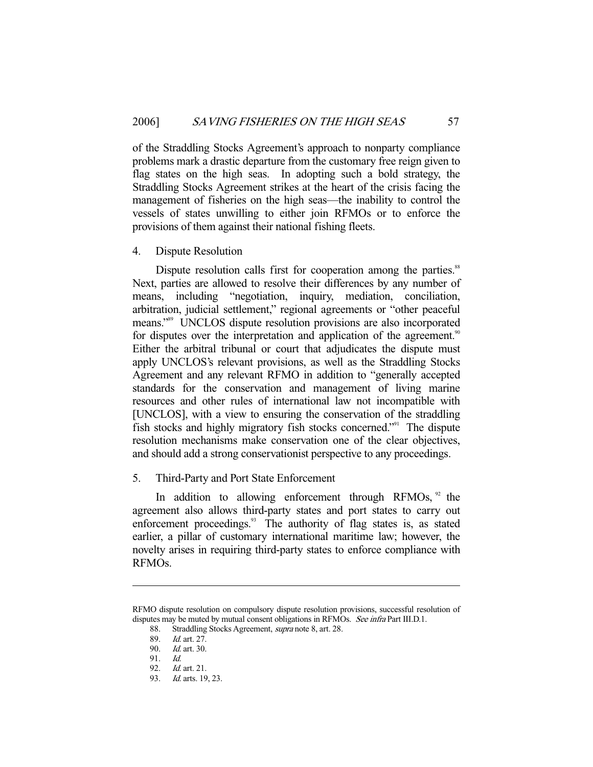of the Straddling Stocks Agreement's approach to nonparty compliance problems mark a drastic departure from the customary free reign given to flag states on the high seas. In adopting such a bold strategy, the Straddling Stocks Agreement strikes at the heart of the crisis facing the management of fisheries on the high seas—the inability to control the vessels of states unwilling to either join RFMOs or to enforce the provisions of them against their national fishing fleets.

## 4. Dispute Resolution

Dispute resolution calls first for cooperation among the parties.<sup>88</sup> Next, parties are allowed to resolve their differences by any number of means, including "negotiation, inquiry, mediation, conciliation, arbitration, judicial settlement," regional agreements or "other peaceful means."89 UNCLOS dispute resolution provisions are also incorporated for disputes over the interpretation and application of the agreement.<sup>90</sup> Either the arbitral tribunal or court that adjudicates the dispute must apply UNCLOS's relevant provisions, as well as the Straddling Stocks Agreement and any relevant RFMO in addition to "generally accepted standards for the conservation and management of living marine resources and other rules of international law not incompatible with [UNCLOS], with a view to ensuring the conservation of the straddling fish stocks and highly migratory fish stocks concerned."91 The dispute resolution mechanisms make conservation one of the clear objectives, and should add a strong conservationist perspective to any proceedings.

## 5. Third-Party and Port State Enforcement

In addition to allowing enforcement through RFMOs,  $\frac{92}{2}$  the agreement also allows third-party states and port states to carry out enforcement proceedings.<sup>93</sup> The authority of flag states is, as stated earlier, a pillar of customary international maritime law; however, the novelty arises in requiring third-party states to enforce compliance with RFMOs.

RFMO dispute resolution on compulsory dispute resolution provisions, successful resolution of disputes may be muted by mutual consent obligations in RFMOs. See infra Part III.D.1.

 <sup>88.</sup> Straddling Stocks Agreement, supra note 8, art. 28.

<sup>89.</sup> *Id.* art. 27.<br>90. *Id.* art. 30.

Id. art. 30.

 <sup>91.</sup> Id.

 <sup>92.</sup> Id. art. 21.

 <sup>93.</sup> Id. arts. 19, 23.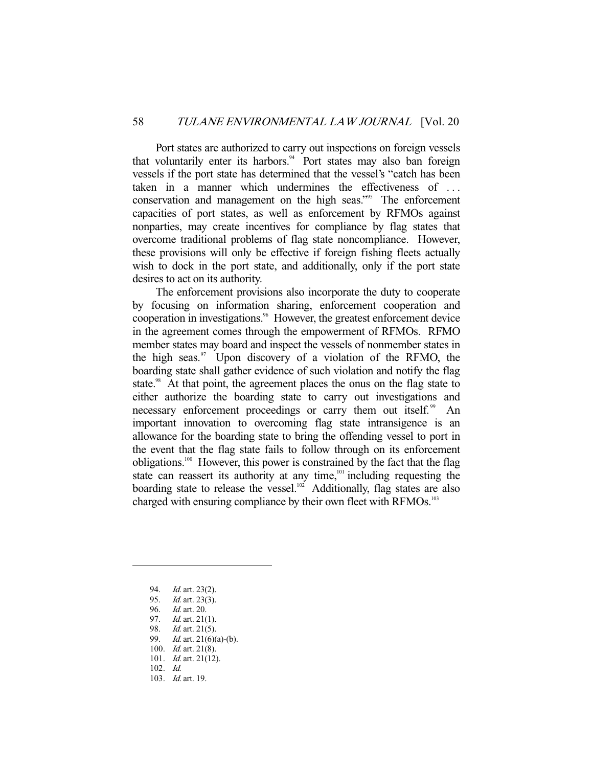Port states are authorized to carry out inspections on foreign vessels that voluntarily enter its harbors.<sup>94</sup> Port states may also ban foreign vessels if the port state has determined that the vessel's "catch has been taken in a manner which undermines the effectiveness of . . . conservation and management on the high seas."<sup>95</sup> The enforcement capacities of port states, as well as enforcement by RFMOs against nonparties, may create incentives for compliance by flag states that overcome traditional problems of flag state noncompliance. However, these provisions will only be effective if foreign fishing fleets actually wish to dock in the port state, and additionally, only if the port state desires to act on its authority.

 The enforcement provisions also incorporate the duty to cooperate by focusing on information sharing, enforcement cooperation and cooperation in investigations.<sup>96</sup> However, the greatest enforcement device in the agreement comes through the empowerment of RFMOs. RFMO member states may board and inspect the vessels of nonmember states in the high seas. $97$  Upon discovery of a violation of the RFMO, the boarding state shall gather evidence of such violation and notify the flag state.<sup>98</sup> At that point, the agreement places the onus on the flag state to either authorize the boarding state to carry out investigations and necessary enforcement proceedings or carry them out itself.<sup>99</sup> An important innovation to overcoming flag state intransigence is an allowance for the boarding state to bring the offending vessel to port in the event that the flag state fails to follow through on its enforcement obligations.100 However, this power is constrained by the fact that the flag state can reassert its authority at any time,<sup>101</sup> including requesting the boarding state to release the vessel.<sup>102</sup> Additionally, flag states are also charged with ensuring compliance by their own fleet with RFMOs.<sup>103</sup>

- 94. Id. art. 23(2).
- 95. *Id.* art. 23(3).
- 96. Id. art. 20.

- 97. *Id.* art. 21(1).
- 98. Id. art. 21(5). 99. *Id.* art. 21(6)(a)-(b).
- 100. *Id.* art. 21(8).
- 101. Id. art. 21(12).
- 102. Id.
- 103. Id. art. 19.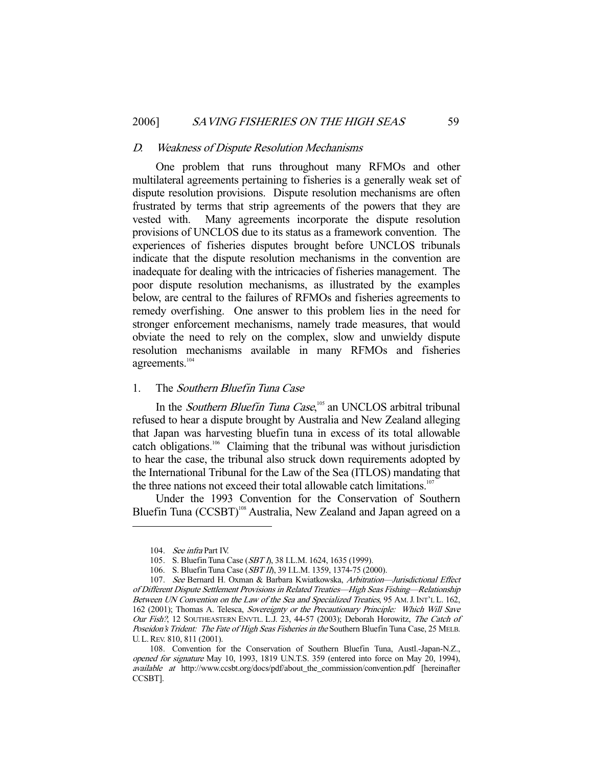#### D. Weakness of Dispute Resolution Mechanisms

 One problem that runs throughout many RFMOs and other multilateral agreements pertaining to fisheries is a generally weak set of dispute resolution provisions. Dispute resolution mechanisms are often frustrated by terms that strip agreements of the powers that they are vested with. Many agreements incorporate the dispute resolution provisions of UNCLOS due to its status as a framework convention. The experiences of fisheries disputes brought before UNCLOS tribunals indicate that the dispute resolution mechanisms in the convention are inadequate for dealing with the intricacies of fisheries management. The poor dispute resolution mechanisms, as illustrated by the examples below, are central to the failures of RFMOs and fisheries agreements to remedy overfishing. One answer to this problem lies in the need for stronger enforcement mechanisms, namely trade measures, that would obviate the need to rely on the complex, slow and unwieldy dispute resolution mechanisms available in many RFMOs and fisheries agreements.<sup>104</sup>

## 1. The Southern Bluefin Tuna Case

In the *Southern Bluefin Tuna Case*,<sup>105</sup> an UNCLOS arbitral tribunal refused to hear a dispute brought by Australia and New Zealand alleging that Japan was harvesting bluefin tuna in excess of its total allowable catch obligations.106 Claiming that the tribunal was without jurisdiction to hear the case, the tribunal also struck down requirements adopted by the International Tribunal for the Law of the Sea (ITLOS) mandating that the three nations not exceed their total allowable catch limitations.<sup>107</sup>

 Under the 1993 Convention for the Conservation of Southern Bluefin Tuna (CCSBT)<sup>108</sup> Australia, New Zealand and Japan agreed on a

 <sup>104.</sup> See infra Part IV.

 <sup>105.</sup> S. Bluefin Tuna Case (SBT I), 38 I.L.M. 1624, 1635 (1999).

 <sup>106.</sup> S. Bluefin Tuna Case (SBT II), 39 I.L.M. 1359, 1374-75 (2000).

 <sup>107.</sup> See Bernard H. Oxman & Barbara Kwiatkowska, Arbitration—Jurisdictional Effect of Different Dispute Settlement Provisions in Related Treaties—High Seas Fishing—Relationship Between UN Convention on the Law of the Sea and Specialized Treaties, 95 AM. J. INT'L L. 162, 162 (2001); Thomas A. Telesca, Sovereignty or the Precautionary Principle: Which Will Save Our Fish?, 12 SOUTHEASTERN ENVTL. L.J. 23, 44-57 (2003); Deborah Horowitz, The Catch of Poseidon's Trident: The Fate of High Seas Fisheries in the Southern Bluefin Tuna Case, 25 MELB. U. L.REV. 810, 811 (2001).

 <sup>108.</sup> Convention for the Conservation of Southern Bluefin Tuna, Austl.-Japan-N.Z., opened for signature May 10, 1993, 1819 U.N.T.S. 359 (entered into force on May 20, 1994), available at http://www.ccsbt.org/docs/pdf/about\_the\_commission/convention.pdf [hereinafter CCSBT].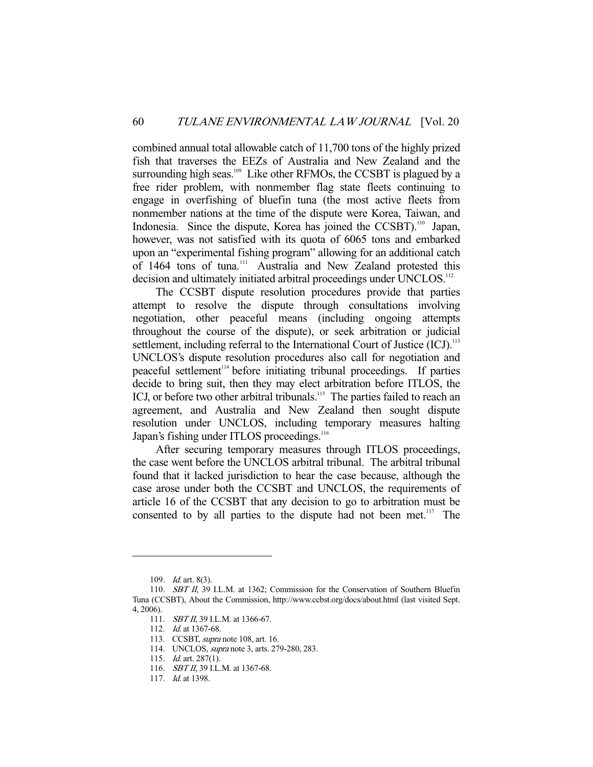combined annual total allowable catch of 11,700 tons of the highly prized fish that traverses the EEZs of Australia and New Zealand and the surrounding high seas.<sup>109</sup> Like other RFMOs, the CCSBT is plagued by a free rider problem, with nonmember flag state fleets continuing to engage in overfishing of bluefin tuna (the most active fleets from nonmember nations at the time of the dispute were Korea, Taiwan, and Indonesia. Since the dispute, Korea has joined the CCSBT).<sup>110</sup> Japan, however, was not satisfied with its quota of 6065 tons and embarked upon an "experimental fishing program" allowing for an additional catch of 1464 tons of tuna.<sup>111</sup> Australia and New Zealand protested this decision and ultimately initiated arbitral proceedings under UNCLOS.<sup>112</sup>

 The CCSBT dispute resolution procedures provide that parties attempt to resolve the dispute through consultations involving negotiation, other peaceful means (including ongoing attempts throughout the course of the dispute), or seek arbitration or judicial settlement, including referral to the International Court of Justice (ICJ).<sup>113</sup> UNCLOS's dispute resolution procedures also call for negotiation and peaceful settlement<sup>114</sup> before initiating tribunal proceedings. If parties decide to bring suit, then they may elect arbitration before ITLOS, the ICJ, or before two other arbitral tribunals.<sup>115</sup> The parties failed to reach an agreement, and Australia and New Zealand then sought dispute resolution under UNCLOS, including temporary measures halting Japan's fishing under ITLOS proceedings.<sup>116</sup>

 After securing temporary measures through ITLOS proceedings, the case went before the UNCLOS arbitral tribunal. The arbitral tribunal found that it lacked jurisdiction to hear the case because, although the case arose under both the CCSBT and UNCLOS, the requirements of article 16 of the CCSBT that any decision to go to arbitration must be consented to by all parties to the dispute had not been met. $117$  The

 <sup>109.</sup> Id. art. 8(3).

<sup>110.</sup> **SBT II, 39 I.L.M.** at 1362; Commission for the Conservation of Southern Bluefin Tuna (CCSBT), About the Commission, http://www.ccbst.org/docs/about.html (last visited Sept. 4, 2006).

<sup>111.</sup> *SBT II*, 39 I.L.M. at 1366-67.

 <sup>112.</sup> Id. at 1367-68.

 <sup>113.</sup> CCSBT, supra note 108, art. 16.

 <sup>114.</sup> UNCLOS, supra note 3, arts. 279-280, 283.

 <sup>115.</sup> Id. art. 287(1).

<sup>116.</sup> *SBT II*, 39 I.L.M. at 1367-68.

<sup>117.</sup> *Id.* at 1398.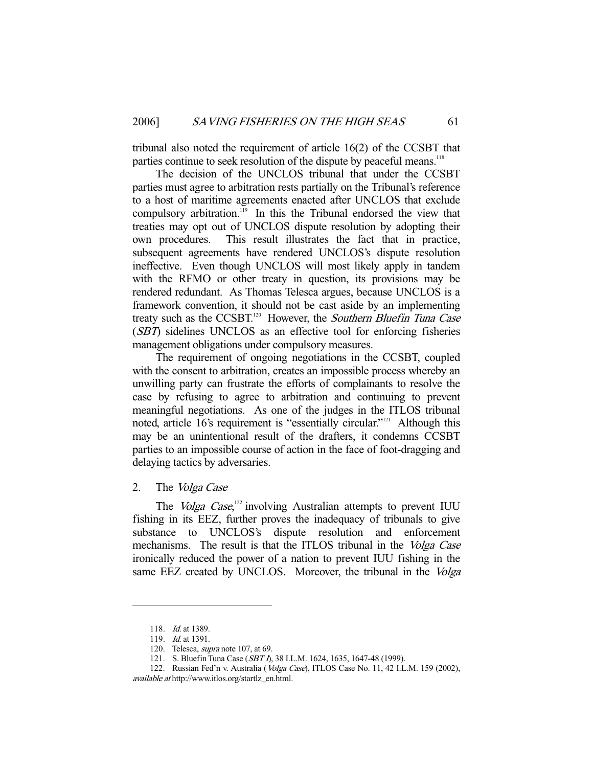tribunal also noted the requirement of article 16(2) of the CCSBT that parties continue to seek resolution of the dispute by peaceful means.<sup>118</sup>

 The decision of the UNCLOS tribunal that under the CCSBT parties must agree to arbitration rests partially on the Tribunal's reference to a host of maritime agreements enacted after UNCLOS that exclude compulsory arbitration.119 In this the Tribunal endorsed the view that treaties may opt out of UNCLOS dispute resolution by adopting their own procedures. This result illustrates the fact that in practice, subsequent agreements have rendered UNCLOS's dispute resolution ineffective. Even though UNCLOS will most likely apply in tandem with the RFMO or other treaty in question, its provisions may be rendered redundant. As Thomas Telesca argues, because UNCLOS is a framework convention, it should not be cast aside by an implementing treaty such as the CCSBT.<sup>120</sup> However, the Southern Bluefin Tuna Case (SBT) sidelines UNCLOS as an effective tool for enforcing fisheries management obligations under compulsory measures.

 The requirement of ongoing negotiations in the CCSBT, coupled with the consent to arbitration, creates an impossible process whereby an unwilling party can frustrate the efforts of complainants to resolve the case by refusing to agree to arbitration and continuing to prevent meaningful negotiations. As one of the judges in the ITLOS tribunal noted, article 16's requirement is "essentially circular."<sup>121</sup> Although this may be an unintentional result of the drafters, it condemns CCSBT parties to an impossible course of action in the face of foot-dragging and delaying tactics by adversaries.

2. The Volga Case

The *Volga Case*,<sup>122</sup> involving Australian attempts to prevent IUU fishing in its EEZ, further proves the inadequacy of tribunals to give substance to UNCLOS's dispute resolution and enforcement mechanisms. The result is that the ITLOS tribunal in the Volga Case ironically reduced the power of a nation to prevent IUU fishing in the same EEZ created by UNCLOS. Moreover, the tribunal in the Volga

 <sup>118.</sup> Id. at 1389.

 <sup>119.</sup> Id. at 1391.

<sup>120.</sup> Telesca, *supra* note 107, at 69.

 <sup>121.</sup> S. Bluefin Tuna Case (SBT I), 38 I.L.M. 1624, 1635, 1647-48 (1999).

<sup>122.</sup> Russian Fed'n v. Australia (Volga Case), ITLOS Case No. 11, 42 I.L.M. 159 (2002), available at http://www.itlos.org/startlz\_en.html.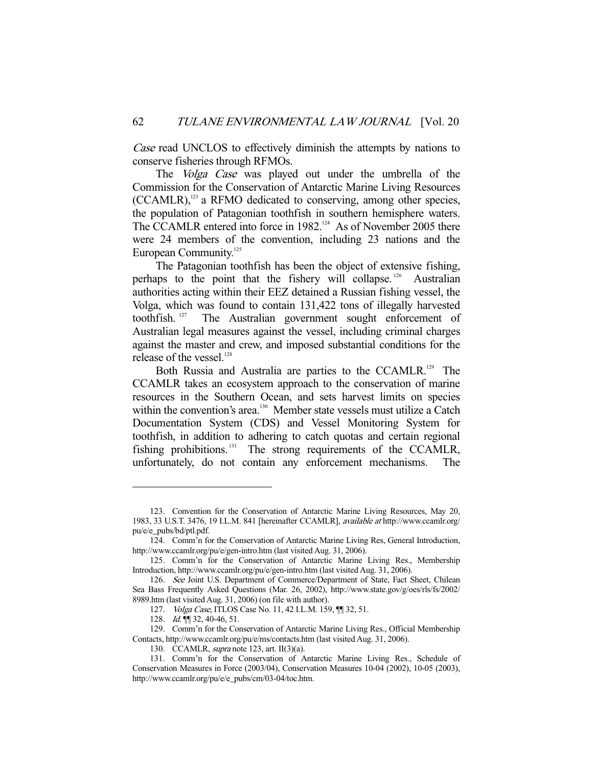Case read UNCLOS to effectively diminish the attempts by nations to conserve fisheries through RFMOs.

The Volga Case was played out under the umbrella of the Commission for the Conservation of Antarctic Marine Living Resources  $(CCAMLR)$ ,<sup>123</sup> a RFMO dedicated to conserving, among other species, the population of Patagonian toothfish in southern hemisphere waters. The CCAMLR entered into force in 1982.<sup>124</sup> As of November 2005 there were 24 members of the convention, including 23 nations and the European Community.<sup>125</sup>

 The Patagonian toothfish has been the object of extensive fishing, perhaps to the point that the fishery will collapse. 126 Australian authorities acting within their EEZ detained a Russian fishing vessel, the Volga, which was found to contain 131,422 tons of illegally harvested toothfish. 127 The Australian government sought enforcement of Australian legal measures against the vessel, including criminal charges against the master and crew, and imposed substantial conditions for the release of the vessel.<sup>128</sup>

Both Russia and Australia are parties to the CCAMLR.<sup>129</sup> The CCAMLR takes an ecosystem approach to the conservation of marine resources in the Southern Ocean, and sets harvest limits on species within the convention's area.<sup>130</sup> Member state vessels must utilize a Catch Documentation System (CDS) and Vessel Monitoring System for toothfish, in addition to adhering to catch quotas and certain regional fishing prohibitions.<sup>131</sup> The strong requirements of the CCAMLR, unfortunately, do not contain any enforcement mechanisms. The

 <sup>123.</sup> Convention for the Conservation of Antarctic Marine Living Resources, May 20, 1983, 33 U.S.T. 3476, 19 I.L.M. 841 [hereinafter CCAMLR], available at http://www.ccamlr.org/ pu/e/e\_pubs/bd/ptl.pdf.

 <sup>124.</sup> Comm'n for the Conservation of Antarctic Marine Living Res, General Introduction, http://www.ccamlr.org/pu/e/gen-intro.htm (last visited Aug. 31, 2006).

 <sup>125.</sup> Comm'n for the Conservation of Antarctic Marine Living Res., Membership Introduction, http://www.ccamlr.org/pu/e/gen-intro.htm (last visited Aug. 31, 2006).

 <sup>126.</sup> See Joint U.S. Department of Commerce/Department of State, Fact Sheet, Chilean Sea Bass Frequently Asked Questions (Mar. 26, 2002), http://www.state.gov/g/oes/rls/fs/2002/ 8989.htm (last visited Aug. 31, 2006) (on file with author).

 <sup>127.</sup> Volga Case, ITLOS Case No. 11, 42 I.L.M. 159, ¶¶ 32, 51.

<sup>128.</sup> Id.  $\mathbb{II}$  32, 40-46, 51.

 <sup>129.</sup> Comm'n for the Conservation of Antarctic Marine Living Res., Official Membership Contacts, http://www.ccamlr.org/pu/e/ms/contacts.htm (last visited Aug. 31, 2006).

<sup>130.</sup> CCAMLR, *supra* note 123, art. II(3)(a).

 <sup>131.</sup> Comm'n for the Conservation of Antarctic Marine Living Res., Schedule of Conservation Measures in Force (2003/04), Conservation Measures 10-04 (2002), 10-05 (2003), http://www.ccamlr.org/pu/e/e\_pubs/cm/03-04/toc.htm.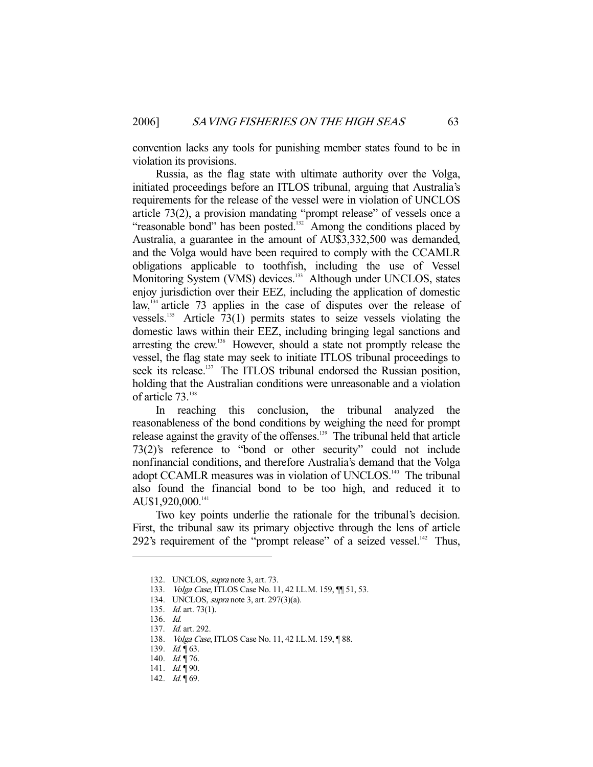convention lacks any tools for punishing member states found to be in violation its provisions.

 Russia, as the flag state with ultimate authority over the Volga, initiated proceedings before an ITLOS tribunal, arguing that Australia's requirements for the release of the vessel were in violation of UNCLOS article 73(2), a provision mandating "prompt release" of vessels once a "reasonable bond" has been posted.<sup>132</sup> Among the conditions placed by Australia, a guarantee in the amount of AU\$3,332,500 was demanded, and the Volga would have been required to comply with the CCAMLR obligations applicable to toothfish, including the use of Vessel Monitoring System (VMS) devices.<sup>133</sup> Although under UNCLOS, states enjoy jurisdiction over their EEZ, including the application of domestic law,  $134$  article 73 applies in the case of disputes over the release of vessels.<sup>135</sup> Article 73(1) permits states to seize vessels violating the domestic laws within their EEZ, including bringing legal sanctions and arresting the crew.<sup>136</sup> However, should a state not promptly release the vessel, the flag state may seek to initiate ITLOS tribunal proceedings to seek its release.<sup>137</sup> The ITLOS tribunal endorsed the Russian position, holding that the Australian conditions were unreasonable and a violation of article 73.<sup>138</sup>

 In reaching this conclusion, the tribunal analyzed the reasonableness of the bond conditions by weighing the need for prompt release against the gravity of the offenses.139 The tribunal held that article 73(2)'s reference to "bond or other security" could not include nonfinancial conditions, and therefore Australia's demand that the Volga adopt CCAMLR measures was in violation of UNCLOS.<sup>140</sup> The tribunal also found the financial bond to be too high, and reduced it to AU\$1,920,000.<sup>141</sup>

 Two key points underlie the rationale for the tribunal's decision. First, the tribunal saw its primary objective through the lens of article 292's requirement of the "prompt release" of a seized vessel. $^{142}$  Thus,

 <sup>132.</sup> UNCLOS, supra note 3, art. 73.

<sup>133.</sup> *Volga Case*, ITLOS Case No. 11, 42 I.L.M. 159,  $\P$  51, 53.

 <sup>134.</sup> UNCLOS, supra note 3, art. 297(3)(a).

 <sup>135.</sup> Id. art. 73(1).

 <sup>136.</sup> Id.

 <sup>137.</sup> Id. art. 292.

<sup>138.</sup> *Volga Case*, ITLOS Case No. 11, 42 I.L.M. 159, 188.

<sup>139.</sup>  $Id. \P 63$ .

<sup>140.</sup> Id. 176.

<sup>141.</sup>  $Id. \P 90.$ 

<sup>142.</sup> *Id.* 169.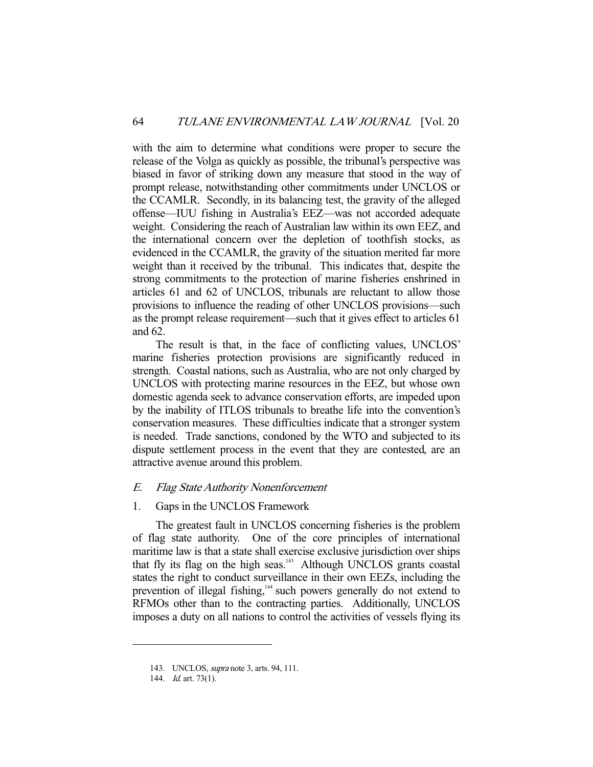with the aim to determine what conditions were proper to secure the release of the Volga as quickly as possible, the tribunal's perspective was biased in favor of striking down any measure that stood in the way of prompt release, notwithstanding other commitments under UNCLOS or the CCAMLR. Secondly, in its balancing test, the gravity of the alleged offense—IUU fishing in Australia's EEZ—was not accorded adequate weight. Considering the reach of Australian law within its own EEZ, and the international concern over the depletion of toothfish stocks, as evidenced in the CCAMLR, the gravity of the situation merited far more weight than it received by the tribunal. This indicates that, despite the strong commitments to the protection of marine fisheries enshrined in articles 61 and 62 of UNCLOS, tribunals are reluctant to allow those provisions to influence the reading of other UNCLOS provisions—such as the prompt release requirement—such that it gives effect to articles 61 and 62.

 The result is that, in the face of conflicting values, UNCLOS' marine fisheries protection provisions are significantly reduced in strength. Coastal nations, such as Australia, who are not only charged by UNCLOS with protecting marine resources in the EEZ, but whose own domestic agenda seek to advance conservation efforts, are impeded upon by the inability of ITLOS tribunals to breathe life into the convention's conservation measures. These difficulties indicate that a stronger system is needed. Trade sanctions, condoned by the WTO and subjected to its dispute settlement process in the event that they are contested, are an attractive avenue around this problem.

## E. Flag State Authority Nonenforcement

#### 1. Gaps in the UNCLOS Framework

 The greatest fault in UNCLOS concerning fisheries is the problem of flag state authority. One of the core principles of international maritime law is that a state shall exercise exclusive jurisdiction over ships that fly its flag on the high seas.<sup>143</sup> Although UNCLOS grants coastal states the right to conduct surveillance in their own EEZs, including the prevention of illegal fishing,<sup>144</sup> such powers generally do not extend to RFMOs other than to the contracting parties. Additionally, UNCLOS imposes a duty on all nations to control the activities of vessels flying its

 <sup>143.</sup> UNCLOS, supra note 3, arts. 94, 111.

<sup>144.</sup> *Id.* art. 73(1).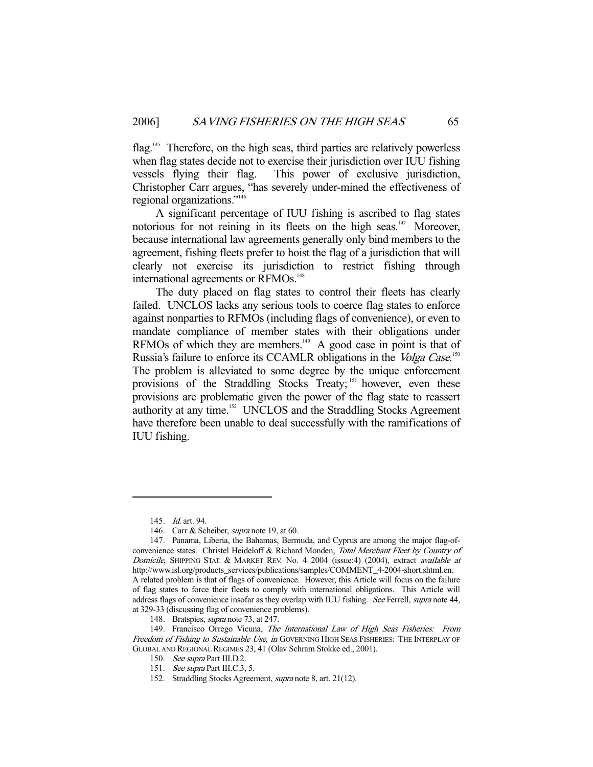flag.<sup>145</sup> Therefore, on the high seas, third parties are relatively powerless when flag states decide not to exercise their jurisdiction over IUU fishing vessels flying their flag. This power of exclusive jurisdiction, Christopher Carr argues, "has severely under-mined the effectiveness of regional organizations."146

 A significant percentage of IUU fishing is ascribed to flag states notorious for not reining in its fleets on the high seas.<sup>147</sup> Moreover, because international law agreements generally only bind members to the agreement, fishing fleets prefer to hoist the flag of a jurisdiction that will clearly not exercise its jurisdiction to restrict fishing through international agreements or RFMOs.<sup>148</sup>

 The duty placed on flag states to control their fleets has clearly failed. UNCLOS lacks any serious tools to coerce flag states to enforce against nonparties to RFMOs (including flags of convenience), or even to mandate compliance of member states with their obligations under RFMOs of which they are members.<sup>149</sup> A good case in point is that of Russia's failure to enforce its CCAMLR obligations in the Volga Case.<sup>150</sup> The problem is alleviated to some degree by the unique enforcement provisions of the Straddling Stocks Treaty; <sup>151</sup> however, even these provisions are problematic given the power of the flag state to reassert authority at any time.<sup>152</sup> UNCLOS and the Straddling Stocks Agreement have therefore been unable to deal successfully with the ramifications of IUU fishing.

 <sup>145.</sup> Id. art. 94.

<sup>146.</sup> Carr & Scheiber, *supra* note 19, at 60.

 <sup>147.</sup> Panama, Liberia, the Bahamas, Bermuda, and Cyprus are among the major flag-ofconvenience states. Christel Heideloff & Richard Monden, Total Merchant Fleet by Country of Domicile, SHIPPING STAT. & MARKET REV. No. 4 2004 (issue:4) (2004), extract available at http://www.isl.org/products\_services/publications/samples/COMMENT\_4-2004-short.shtml.en. A related problem is that of flags of convenience. However, this Article will focus on the failure of flag states to force their fleets to comply with international obligations. This Article will address flags of convenience insofar as they overlap with IUU fishing. See Ferrell, supra note 44, at 329-33 (discussing flag of convenience problems).

<sup>148.</sup> Bratspies, *supra* note 73, at 247.

<sup>149.</sup> Francisco Orrego Vicuna, The International Law of High Seas Fisheries: From Freedom of Fishing to Sustainable Use, in GOVERNING HIGH SEAS FISHERIES: THE INTERPLAY OF GLOBAL AND REGIONAL REGIMES 23, 41 (Olav Schram Stokke ed., 2001).

<sup>150.</sup> See supra Part III.D.2.

<sup>151.</sup> *See supra* Part III.C.3, 5.

 <sup>152.</sup> Straddling Stocks Agreement, supra note 8, art. 21(12).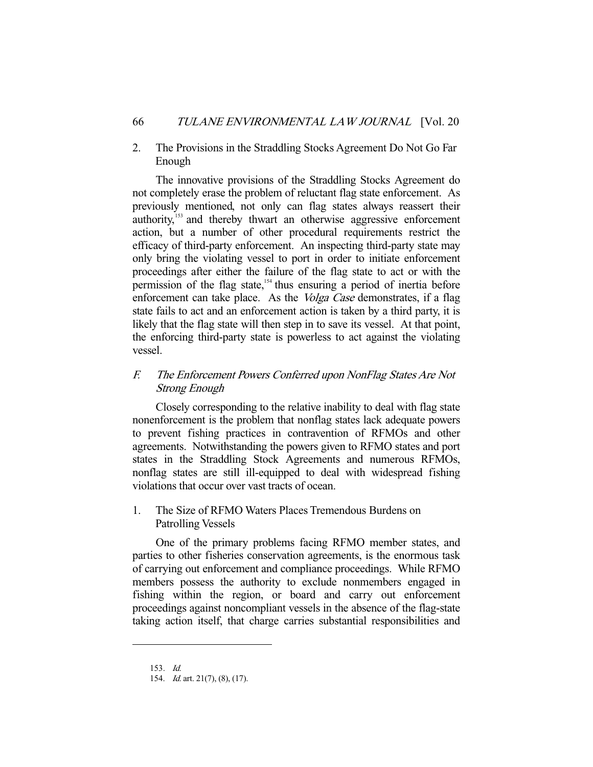2. The Provisions in the Straddling Stocks Agreement Do Not Go Far Enough

 The innovative provisions of the Straddling Stocks Agreement do not completely erase the problem of reluctant flag state enforcement. As previously mentioned, not only can flag states always reassert their authority,<sup>153</sup> and thereby thwart an otherwise aggressive enforcement action, but a number of other procedural requirements restrict the efficacy of third-party enforcement. An inspecting third-party state may only bring the violating vessel to port in order to initiate enforcement proceedings after either the failure of the flag state to act or with the permission of the flag state,<sup>154</sup> thus ensuring a period of inertia before enforcement can take place. As the *Volga Case* demonstrates, if a flag state fails to act and an enforcement action is taken by a third party, it is likely that the flag state will then step in to save its vessel. At that point, the enforcing third-party state is powerless to act against the violating vessel.

## F. The Enforcement Powers Conferred upon NonFlag States Are Not Strong Enough

 Closely corresponding to the relative inability to deal with flag state nonenforcement is the problem that nonflag states lack adequate powers to prevent fishing practices in contravention of RFMOs and other agreements. Notwithstanding the powers given to RFMO states and port states in the Straddling Stock Agreements and numerous RFMOs, nonflag states are still ill-equipped to deal with widespread fishing violations that occur over vast tracts of ocean.

## 1. The Size of RFMO Waters Places Tremendous Burdens on Patrolling Vessels

 One of the primary problems facing RFMO member states, and parties to other fisheries conservation agreements, is the enormous task of carrying out enforcement and compliance proceedings. While RFMO members possess the authority to exclude nonmembers engaged in fishing within the region, or board and carry out enforcement proceedings against noncompliant vessels in the absence of the flag-state taking action itself, that charge carries substantial responsibilities and

 <sup>153.</sup> Id.

<sup>154.</sup> *Id.* art. 21(7), (8), (17).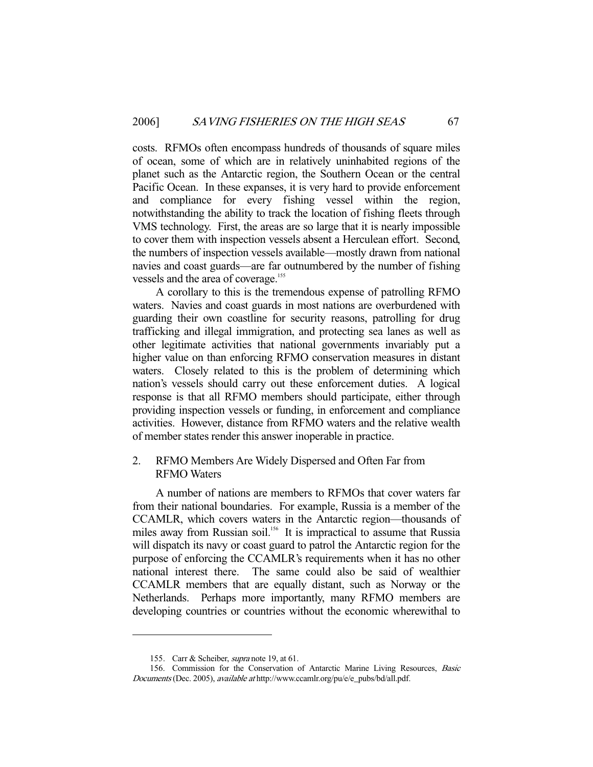costs. RFMOs often encompass hundreds of thousands of square miles of ocean, some of which are in relatively uninhabited regions of the planet such as the Antarctic region, the Southern Ocean or the central Pacific Ocean. In these expanses, it is very hard to provide enforcement and compliance for every fishing vessel within the region, notwithstanding the ability to track the location of fishing fleets through VMS technology. First, the areas are so large that it is nearly impossible to cover them with inspection vessels absent a Herculean effort. Second, the numbers of inspection vessels available—mostly drawn from national navies and coast guards—are far outnumbered by the number of fishing vessels and the area of coverage.<sup>155</sup>

 A corollary to this is the tremendous expense of patrolling RFMO waters. Navies and coast guards in most nations are overburdened with guarding their own coastline for security reasons, patrolling for drug trafficking and illegal immigration, and protecting sea lanes as well as other legitimate activities that national governments invariably put a higher value on than enforcing RFMO conservation measures in distant waters. Closely related to this is the problem of determining which nation's vessels should carry out these enforcement duties. A logical response is that all RFMO members should participate, either through providing inspection vessels or funding, in enforcement and compliance activities. However, distance from RFMO waters and the relative wealth of member states render this answer inoperable in practice.

## 2. RFMO Members Are Widely Dispersed and Often Far from RFMO Waters

 A number of nations are members to RFMOs that cover waters far from their national boundaries. For example, Russia is a member of the CCAMLR, which covers waters in the Antarctic region—thousands of miles away from Russian soil.<sup>156</sup> It is impractical to assume that Russia will dispatch its navy or coast guard to patrol the Antarctic region for the purpose of enforcing the CCAMLR's requirements when it has no other national interest there. The same could also be said of wealthier CCAMLR members that are equally distant, such as Norway or the Netherlands. Perhaps more importantly, many RFMO members are developing countries or countries without the economic wherewithal to

<sup>155.</sup> Carr & Scheiber, *supra* note 19, at 61.

 <sup>156.</sup> Commission for the Conservation of Antarctic Marine Living Resources, Basic Documents (Dec. 2005), available at http://www.ccamlr.org/pu/e/e\_pubs/bd/all.pdf.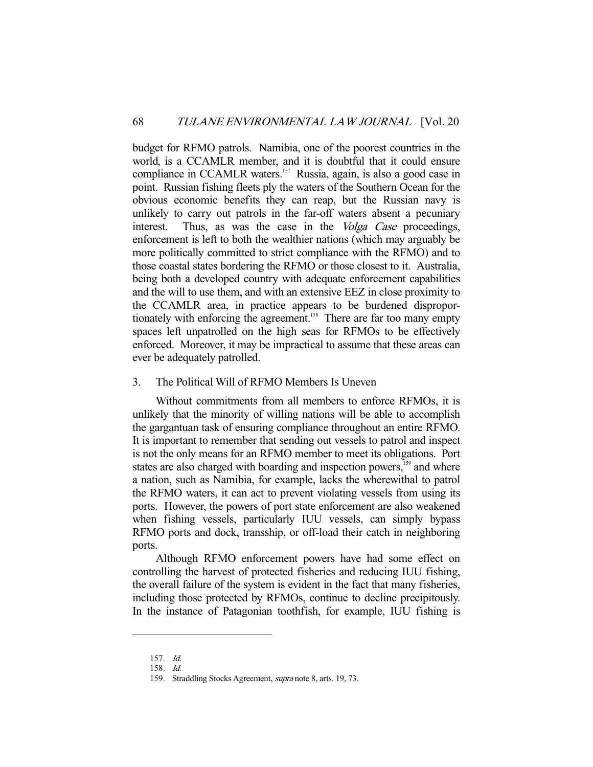budget for RFMO patrols. Namibia, one of the poorest countries in the world, is a CCAMLR member, and it is doubtful that it could ensure compliance in CCAMLR waters.<sup>157</sup> Russia, again, is also a good case in point. Russian fishing fleets ply the waters of the Southern Ocean for the obvious economic benefits they can reap, but the Russian navy is unlikely to carry out patrols in the far-off waters absent a pecuniary interest. Thus, as was the case in the *Volga Case* proceedings, enforcement is left to both the wealthier nations (which may arguably be more politically committed to strict compliance with the RFMO) and to those coastal states bordering the RFMO or those closest to it. Australia, being both a developed country with adequate enforcement capabilities and the will to use them, and with an extensive EEZ in close proximity to the CCAMLR area, in practice appears to be burdened disproportionately with enforcing the agreement.<sup>158</sup> There are far too many empty spaces left unpatrolled on the high seas for RFMOs to be effectively enforced. Moreover, it may be impractical to assume that these areas can ever be adequately patrolled.

## 3. The Political Will of RFMO Members Is Uneven

 Without commitments from all members to enforce RFMOs, it is unlikely that the minority of willing nations will be able to accomplish the gargantuan task of ensuring compliance throughout an entire RFMO. It is important to remember that sending out vessels to patrol and inspect is not the only means for an RFMO member to meet its obligations. Port states are also charged with boarding and inspection powers,<sup>159</sup> and where a nation, such as Namibia, for example, lacks the wherewithal to patrol the RFMO waters, it can act to prevent violating vessels from using its ports. However, the powers of port state enforcement are also weakened when fishing vessels, particularly IUU vessels, can simply bypass RFMO ports and dock, transship, or off-load their catch in neighboring ports.

 Although RFMO enforcement powers have had some effect on controlling the harvest of protected fisheries and reducing IUU fishing, the overall failure of the system is evident in the fact that many fisheries, including those protected by RFMOs, continue to decline precipitously. In the instance of Patagonian toothfish, for example, IUU fishing is

 <sup>157.</sup> Id.

 <sup>158.</sup> Id.

 <sup>159.</sup> Straddling Stocks Agreement, supra note 8, arts. 19, 73.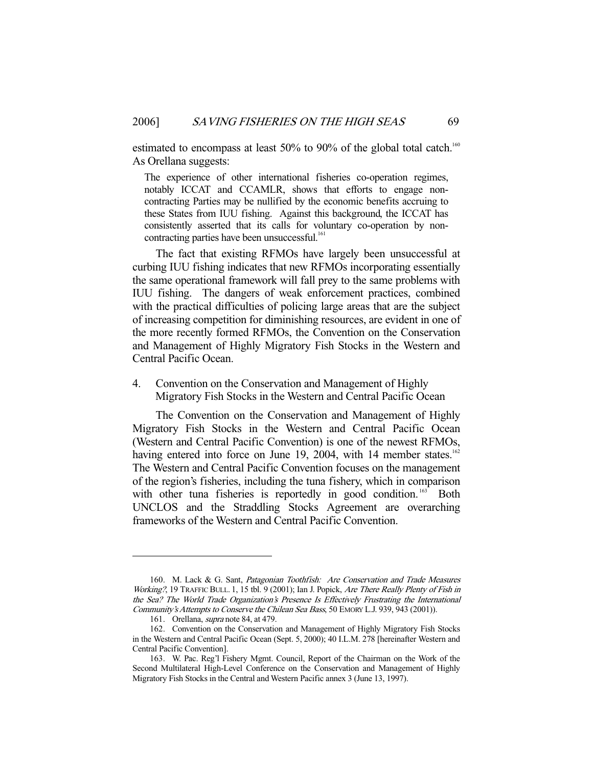estimated to encompass at least 50% to 90% of the global total catch.<sup>160</sup> As Orellana suggests:

The experience of other international fisheries co-operation regimes, notably ICCAT and CCAMLR, shows that efforts to engage noncontracting Parties may be nullified by the economic benefits accruing to these States from IUU fishing. Against this background, the ICCAT has consistently asserted that its calls for voluntary co-operation by noncontracting parties have been unsuccessful.<sup>161</sup>

 The fact that existing RFMOs have largely been unsuccessful at curbing IUU fishing indicates that new RFMOs incorporating essentially the same operational framework will fall prey to the same problems with IUU fishing. The dangers of weak enforcement practices, combined with the practical difficulties of policing large areas that are the subject of increasing competition for diminishing resources, are evident in one of the more recently formed RFMOs, the Convention on the Conservation and Management of Highly Migratory Fish Stocks in the Western and Central Pacific Ocean.

4. Convention on the Conservation and Management of Highly Migratory Fish Stocks in the Western and Central Pacific Ocean

 The Convention on the Conservation and Management of Highly Migratory Fish Stocks in the Western and Central Pacific Ocean (Western and Central Pacific Convention) is one of the newest RFMOs, having entered into force on June 19, 2004, with 14 member states.<sup>162</sup> The Western and Central Pacific Convention focuses on the management of the region's fisheries, including the tuna fishery, which in comparison with other tuna fisheries is reportedly in good condition.<sup>163</sup> Both UNCLOS and the Straddling Stocks Agreement are overarching frameworks of the Western and Central Pacific Convention.

<sup>160.</sup> M. Lack & G. Sant, Patagonian Toothfish: Are Conservation and Trade Measures Working?, 19 TRAFFIC BULL. 1, 15 tbl. 9 (2001); Ian J. Popick, Are There Really Plenty of Fish in the Sea? The World Trade Organization's Presence Is Effectively Frustrating the International Community's Attempts to Conserve the Chilean Sea Bass, 50 EMORY L.J. 939, 943 (2001)).

 <sup>161.</sup> Orellana, supra note 84, at 479.

 <sup>162.</sup> Convention on the Conservation and Management of Highly Migratory Fish Stocks in the Western and Central Pacific Ocean (Sept. 5, 2000); 40 I.L.M. 278 [hereinafter Western and Central Pacific Convention].

 <sup>163.</sup> W. Pac. Reg'l Fishery Mgmt. Council, Report of the Chairman on the Work of the Second Multilateral High-Level Conference on the Conservation and Management of Highly Migratory Fish Stocks in the Central and Western Pacific annex 3 (June 13, 1997).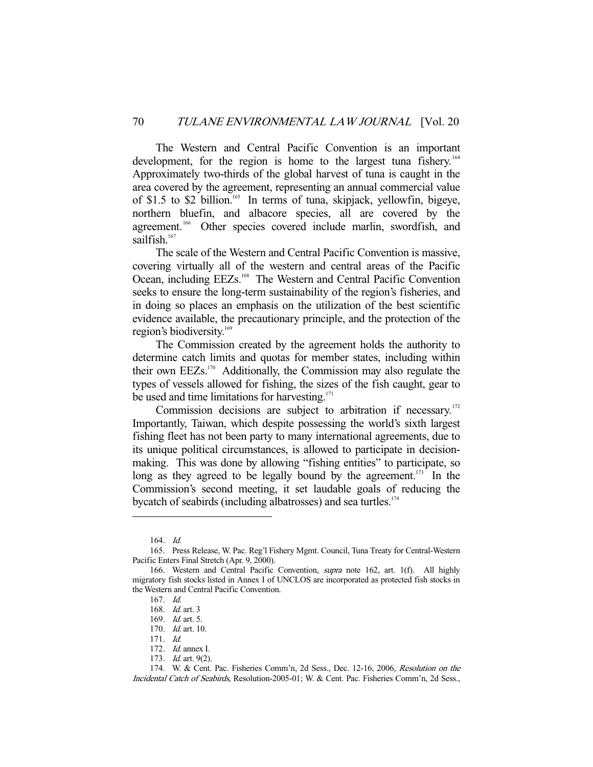The Western and Central Pacific Convention is an important development, for the region is home to the largest tuna fishery.<sup>164</sup> Approximately two-thirds of the global harvest of tuna is caught in the area covered by the agreement, representing an annual commercial value of \$1.5 to \$2 billion.<sup>165</sup> In terms of tuna, skipjack, yellowfin, bigeye, northern bluefin, and albacore species, all are covered by the agreement.<sup>166</sup> Other species covered include marlin, swordfish, and sailfish.<sup>167</sup>

 The scale of the Western and Central Pacific Convention is massive, covering virtually all of the western and central areas of the Pacific Ocean, including EEZs.<sup>168</sup> The Western and Central Pacific Convention seeks to ensure the long-term sustainability of the region's fisheries, and in doing so places an emphasis on the utilization of the best scientific evidence available, the precautionary principle, and the protection of the region's biodiversity.<sup>169</sup>

 The Commission created by the agreement holds the authority to determine catch limits and quotas for member states, including within their own EEZs.170 Additionally, the Commission may also regulate the types of vessels allowed for fishing, the sizes of the fish caught, gear to be used and time limitations for harvesting.<sup>171</sup>

Commission decisions are subject to arbitration if necessary.<sup>172</sup> Importantly, Taiwan, which despite possessing the world's sixth largest fishing fleet has not been party to many international agreements, due to its unique political circumstances, is allowed to participate in decisionmaking. This was done by allowing "fishing entities" to participate, so long as they agreed to be legally bound by the agreement.<sup>173</sup> In the Commission's second meeting, it set laudable goals of reducing the bycatch of seabirds (including albatrosses) and sea turtles.<sup>174</sup>

 <sup>164.</sup> Id.

 <sup>165.</sup> Press Release, W. Pac. Reg'l Fishery Mgmt. Council, Tuna Treaty for Central-Western Pacific Enters Final Stretch (Apr. 9, 2000).

 <sup>166.</sup> Western and Central Pacific Convention, supra note 162, art. 1(f). All highly migratory fish stocks listed in Annex I of UNCLOS are incorporated as protected fish stocks in the Western and Central Pacific Convention.

 <sup>167.</sup> Id.

 <sup>168.</sup> Id. art. 3

 <sup>169.</sup> Id. art. 5.

 <sup>170.</sup> Id. art. 10.

 <sup>171.</sup> Id.

 <sup>172.</sup> Id. annex I.

 <sup>173.</sup> Id. art. 9(2).

 <sup>174.</sup> W. & Cent. Pac. Fisheries Comm'n, 2d Sess., Dec. 12-16, 2006, Resolution on the Incidental Catch of Seabirds, Resolution-2005-01; W. & Cent. Pac. Fisheries Comm'n, 2d Sess.,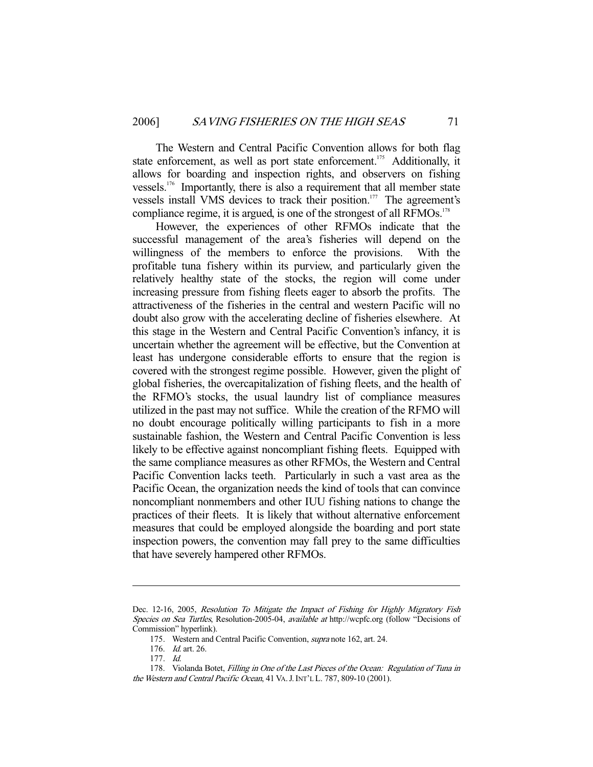The Western and Central Pacific Convention allows for both flag state enforcement, as well as port state enforcement.<sup>175</sup> Additionally, it allows for boarding and inspection rights, and observers on fishing vessels.176 Importantly, there is also a requirement that all member state vessels install VMS devices to track their position.<sup>177</sup> The agreement's compliance regime, it is argued, is one of the strongest of all RFMOs.<sup>178</sup>

 However, the experiences of other RFMOs indicate that the successful management of the area's fisheries will depend on the willingness of the members to enforce the provisions. With the profitable tuna fishery within its purview, and particularly given the relatively healthy state of the stocks, the region will come under increasing pressure from fishing fleets eager to absorb the profits. The attractiveness of the fisheries in the central and western Pacific will no doubt also grow with the accelerating decline of fisheries elsewhere. At this stage in the Western and Central Pacific Convention's infancy, it is uncertain whether the agreement will be effective, but the Convention at least has undergone considerable efforts to ensure that the region is covered with the strongest regime possible. However, given the plight of global fisheries, the overcapitalization of fishing fleets, and the health of the RFMO's stocks, the usual laundry list of compliance measures utilized in the past may not suffice. While the creation of the RFMO will no doubt encourage politically willing participants to fish in a more sustainable fashion, the Western and Central Pacific Convention is less likely to be effective against noncompliant fishing fleets. Equipped with the same compliance measures as other RFMOs, the Western and Central Pacific Convention lacks teeth. Particularly in such a vast area as the Pacific Ocean, the organization needs the kind of tools that can convince noncompliant nonmembers and other IUU fishing nations to change the practices of their fleets. It is likely that without alternative enforcement measures that could be employed alongside the boarding and port state inspection powers, the convention may fall prey to the same difficulties that have severely hampered other RFMOs.

Dec. 12-16, 2005, Resolution To Mitigate the Impact of Fishing for Highly Migratory Fish Species on Sea Turtles, Resolution-2005-04, available at http://wcpfc.org (follow "Decisions of Commission" hyperlink).

 <sup>175.</sup> Western and Central Pacific Convention, supra note 162, art. 24.

 <sup>176.</sup> Id. art. 26.

 <sup>177.</sup> Id.

 <sup>178.</sup> Violanda Botet, Filling in One of the Last Pieces of the Ocean: Regulation of Tuna in the Western and Central Pacific Ocean, 41 VA. J. INT'L L. 787, 809-10 (2001).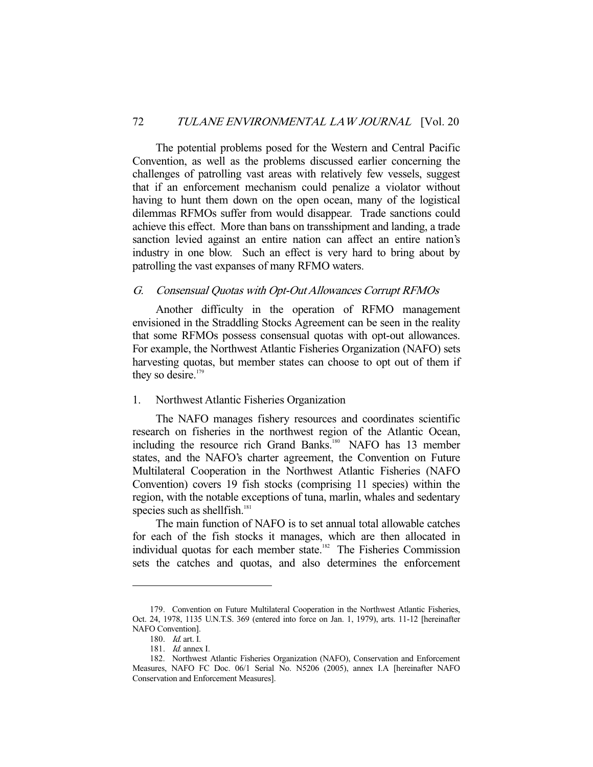The potential problems posed for the Western and Central Pacific Convention, as well as the problems discussed earlier concerning the challenges of patrolling vast areas with relatively few vessels, suggest that if an enforcement mechanism could penalize a violator without having to hunt them down on the open ocean, many of the logistical dilemmas RFMOs suffer from would disappear. Trade sanctions could achieve this effect. More than bans on transshipment and landing, a trade sanction levied against an entire nation can affect an entire nation's industry in one blow. Such an effect is very hard to bring about by patrolling the vast expanses of many RFMO waters.

## G. Consensual Quotas with Opt-Out Allowances Corrupt RFMOs

 Another difficulty in the operation of RFMO management envisioned in the Straddling Stocks Agreement can be seen in the reality that some RFMOs possess consensual quotas with opt-out allowances. For example, the Northwest Atlantic Fisheries Organization (NAFO) sets harvesting quotas, but member states can choose to opt out of them if they so desire. $179$ 

## 1. Northwest Atlantic Fisheries Organization

 The NAFO manages fishery resources and coordinates scientific research on fisheries in the northwest region of the Atlantic Ocean, including the resource rich Grand Banks.<sup>180</sup> NAFO has 13 member states, and the NAFO's charter agreement, the Convention on Future Multilateral Cooperation in the Northwest Atlantic Fisheries (NAFO Convention) covers 19 fish stocks (comprising 11 species) within the region, with the notable exceptions of tuna, marlin, whales and sedentary species such as shellfish. $181$ 

 The main function of NAFO is to set annual total allowable catches for each of the fish stocks it manages, which are then allocated in individual quotas for each member state.<sup>182</sup> The Fisheries Commission sets the catches and quotas, and also determines the enforcement

 <sup>179.</sup> Convention on Future Multilateral Cooperation in the Northwest Atlantic Fisheries, Oct. 24, 1978, 1135 U.N.T.S. 369 (entered into force on Jan. 1, 1979), arts. 11-12 [hereinafter NAFO Convention].

 <sup>180.</sup> Id. art. I.

 <sup>181.</sup> Id. annex I.

 <sup>182.</sup> Northwest Atlantic Fisheries Organization (NAFO), Conservation and Enforcement Measures, NAFO FC Doc. 06/1 Serial No. N5206 (2005), annex I.A [hereinafter NAFO Conservation and Enforcement Measures].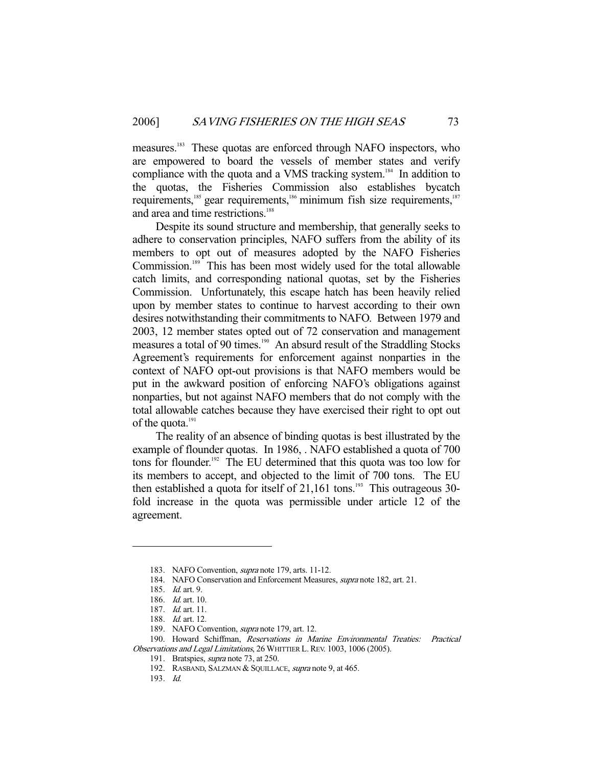measures.183 These quotas are enforced through NAFO inspectors, who are empowered to board the vessels of member states and verify compliance with the quota and a VMS tracking system.<sup>184</sup> In addition to the quotas, the Fisheries Commission also establishes bycatch requirements,<sup>185</sup> gear requirements,<sup>186</sup> minimum fish size requirements,<sup>187</sup> and area and time restrictions.<sup>188</sup>

 Despite its sound structure and membership, that generally seeks to adhere to conservation principles, NAFO suffers from the ability of its members to opt out of measures adopted by the NAFO Fisheries Commission.189 This has been most widely used for the total allowable catch limits, and corresponding national quotas, set by the Fisheries Commission. Unfortunately, this escape hatch has been heavily relied upon by member states to continue to harvest according to their own desires notwithstanding their commitments to NAFO. Between 1979 and 2003, 12 member states opted out of 72 conservation and management measures a total of 90 times.<sup>190</sup> An absurd result of the Straddling Stocks Agreement's requirements for enforcement against nonparties in the context of NAFO opt-out provisions is that NAFO members would be put in the awkward position of enforcing NAFO's obligations against nonparties, but not against NAFO members that do not comply with the total allowable catches because they have exercised their right to opt out of the quota.<sup>191</sup>

 The reality of an absence of binding quotas is best illustrated by the example of flounder quotas. In 1986, . NAFO established a quota of 700 tons for flounder.<sup>192</sup> The EU determined that this quota was too low for its members to accept, and objected to the limit of 700 tons. The EU then established a quota for itself of  $21,161$  tons.<sup>193</sup> This outrageous 30fold increase in the quota was permissible under article 12 of the agreement.

 <sup>183.</sup> NAFO Convention, supra note 179, arts. 11-12.

 <sup>184.</sup> NAFO Conservation and Enforcement Measures, supra note 182, art. 21.

 <sup>185.</sup> Id. art. 9.

 <sup>186.</sup> Id. art. 10.

 <sup>187.</sup> Id. art. 11.

 <sup>188.</sup> Id. art. 12.

<sup>189.</sup> NAFO Convention, *supra* note 179, art. 12.

 <sup>190.</sup> Howard Schiffman, Reservations in Marine Environmental Treaties: Practical Observations and Legal Limitations, 26 WHITTIER L. REV. 1003, 1006 (2005).

<sup>191.</sup> Bratspies, *supra* note 73, at 250.

<sup>192.</sup> RASBAND, SALZMAN & SQUILLACE, supra note 9, at 465.

 <sup>193.</sup> Id.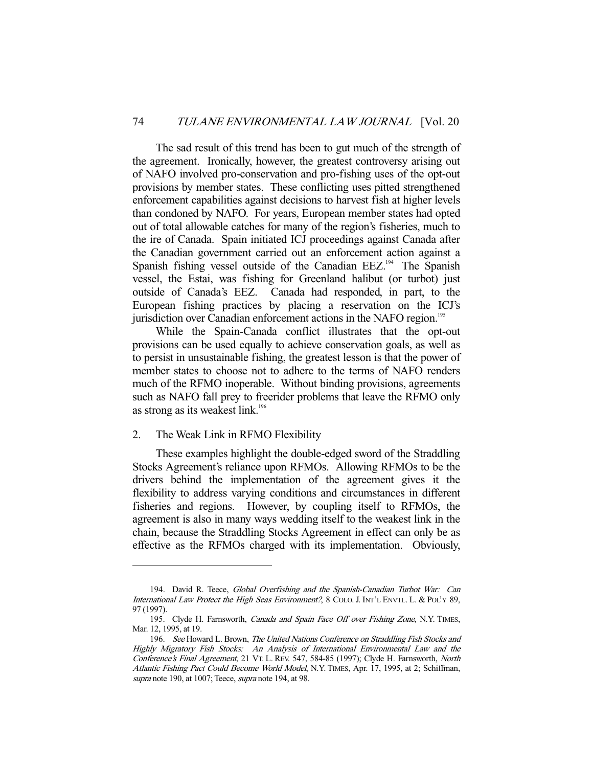The sad result of this trend has been to gut much of the strength of the agreement. Ironically, however, the greatest controversy arising out of NAFO involved pro-conservation and pro-fishing uses of the opt-out provisions by member states. These conflicting uses pitted strengthened enforcement capabilities against decisions to harvest fish at higher levels than condoned by NAFO. For years, European member states had opted out of total allowable catches for many of the region's fisheries, much to the ire of Canada. Spain initiated ICJ proceedings against Canada after the Canadian government carried out an enforcement action against a Spanish fishing vessel outside of the Canadian EEZ.<sup>194</sup> The Spanish vessel, the Estai, was fishing for Greenland halibut (or turbot) just outside of Canada's EEZ. Canada had responded, in part, to the European fishing practices by placing a reservation on the ICJ's jurisdiction over Canadian enforcement actions in the NAFO region.<sup>195</sup>

 While the Spain-Canada conflict illustrates that the opt-out provisions can be used equally to achieve conservation goals, as well as to persist in unsustainable fishing, the greatest lesson is that the power of member states to choose not to adhere to the terms of NAFO renders much of the RFMO inoperable. Without binding provisions, agreements such as NAFO fall prey to freerider problems that leave the RFMO only as strong as its weakest link.<sup>196</sup>

#### 2. The Weak Link in RFMO Flexibility

-

 These examples highlight the double-edged sword of the Straddling Stocks Agreement's reliance upon RFMOs. Allowing RFMOs to be the drivers behind the implementation of the agreement gives it the flexibility to address varying conditions and circumstances in different fisheries and regions. However, by coupling itself to RFMOs, the agreement is also in many ways wedding itself to the weakest link in the chain, because the Straddling Stocks Agreement in effect can only be as effective as the RFMOs charged with its implementation. Obviously,

<sup>194.</sup> David R. Teece, Global Overfishing and the Spanish-Canadian Turbot War: Can International Law Protect the High Seas Environment?, 8 COLO. J. INT'L ENVTL. L. & POL'Y 89, 97 (1997).

<sup>195.</sup> Clyde H. Farnsworth, Canada and Spain Face Off over Fishing Zone, N.Y. TIMES, Mar. 12, 1995, at 19.

<sup>196.</sup> See Howard L. Brown, The United Nations Conference on Straddling Fish Stocks and Highly Migratory Fish Stocks: An Analysis of International Environmental Law and the Conference's Final Agreement, 21 VT. L. REV. 547, 584-85 (1997); Clyde H. Farnsworth, North Atlantic Fishing Pact Could Become World Model, N.Y. TIMES, Apr. 17, 1995, at 2; Schiffman, supra note 190, at 1007; Teece, supra note 194, at 98.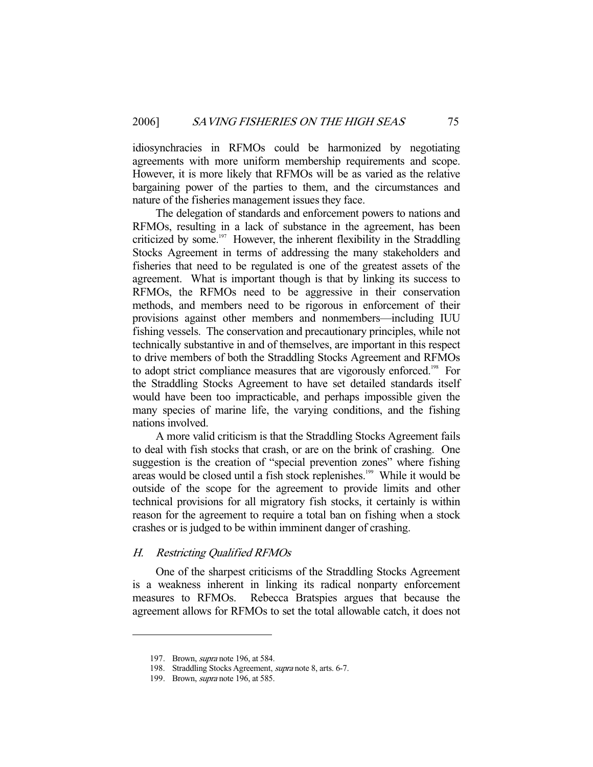idiosynchracies in RFMOs could be harmonized by negotiating agreements with more uniform membership requirements and scope. However, it is more likely that RFMOs will be as varied as the relative bargaining power of the parties to them, and the circumstances and nature of the fisheries management issues they face.

 The delegation of standards and enforcement powers to nations and RFMOs, resulting in a lack of substance in the agreement, has been criticized by some. $197$  However, the inherent flexibility in the Straddling Stocks Agreement in terms of addressing the many stakeholders and fisheries that need to be regulated is one of the greatest assets of the agreement. What is important though is that by linking its success to RFMOs, the RFMOs need to be aggressive in their conservation methods, and members need to be rigorous in enforcement of their provisions against other members and nonmembers—including IUU fishing vessels. The conservation and precautionary principles, while not technically substantive in and of themselves, are important in this respect to drive members of both the Straddling Stocks Agreement and RFMOs to adopt strict compliance measures that are vigorously enforced.<sup>198</sup> For the Straddling Stocks Agreement to have set detailed standards itself would have been too impracticable, and perhaps impossible given the many species of marine life, the varying conditions, and the fishing nations involved.

 A more valid criticism is that the Straddling Stocks Agreement fails to deal with fish stocks that crash, or are on the brink of crashing. One suggestion is the creation of "special prevention zones" where fishing areas would be closed until a fish stock replenishes.<sup>199</sup> While it would be outside of the scope for the agreement to provide limits and other technical provisions for all migratory fish stocks, it certainly is within reason for the agreement to require a total ban on fishing when a stock crashes or is judged to be within imminent danger of crashing.

#### H. Restricting Qualified RFMOs

 One of the sharpest criticisms of the Straddling Stocks Agreement is a weakness inherent in linking its radical nonparty enforcement measures to RFMOs. Rebecca Bratspies argues that because the agreement allows for RFMOs to set the total allowable catch, it does not

<sup>197.</sup> Brown, *supra* note 196, at 584.

 <sup>198.</sup> Straddling Stocks Agreement, supra note 8, arts. 6-7.

<sup>199.</sup> Brown, *supra* note 196, at 585.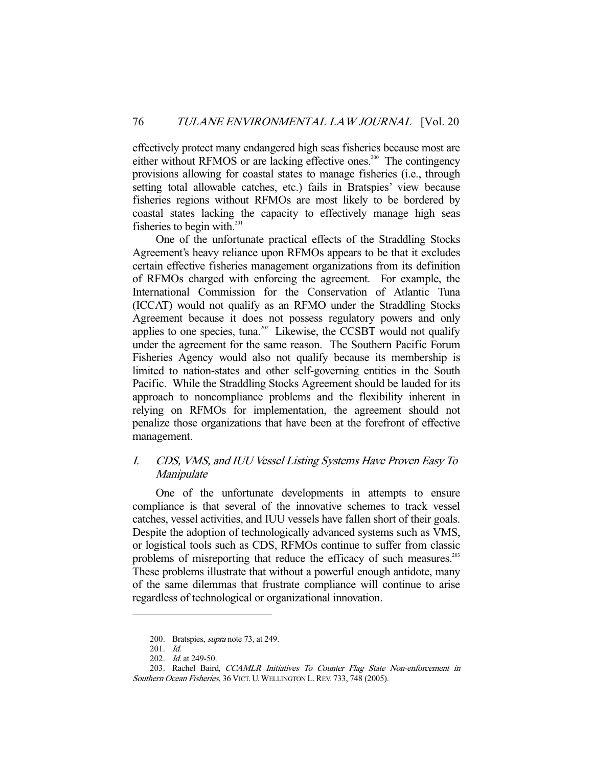effectively protect many endangered high seas fisheries because most are either without RFMOS or are lacking effective ones.<sup>200</sup> The contingency provisions allowing for coastal states to manage fisheries (i.e., through setting total allowable catches, etc.) fails in Bratspies' view because fisheries regions without RFMOs are most likely to be bordered by coastal states lacking the capacity to effectively manage high seas fisheries to begin with.<sup>201</sup>

 One of the unfortunate practical effects of the Straddling Stocks Agreement's heavy reliance upon RFMOs appears to be that it excludes certain effective fisheries management organizations from its definition of RFMOs charged with enforcing the agreement. For example, the International Commission for the Conservation of Atlantic Tuna (ICCAT) would not qualify as an RFMO under the Straddling Stocks Agreement because it does not possess regulatory powers and only applies to one species, tuna.<sup>202</sup> Likewise, the CCSBT would not qualify under the agreement for the same reason. The Southern Pacific Forum Fisheries Agency would also not qualify because its membership is limited to nation-states and other self-governing entities in the South Pacific. While the Straddling Stocks Agreement should be lauded for its approach to noncompliance problems and the flexibility inherent in relying on RFMOs for implementation, the agreement should not penalize those organizations that have been at the forefront of effective management.

## I. CDS, VMS, and IUU Vessel Listing Systems Have Proven Easy To Manipulate

 One of the unfortunate developments in attempts to ensure compliance is that several of the innovative schemes to track vessel catches, vessel activities, and IUU vessels have fallen short of their goals. Despite the adoption of technologically advanced systems such as VMS, or logistical tools such as CDS, RFMOs continue to suffer from classic problems of misreporting that reduce the efficacy of such measures.<sup>203</sup> These problems illustrate that without a powerful enough antidote, many of the same dilemmas that frustrate compliance will continue to arise regardless of technological or organizational innovation.

<sup>200.</sup> Bratspies, *supra* note 73, at 249.

 <sup>201.</sup> Id.

<sup>202.</sup> *Id.* at 249-50.

 <sup>203.</sup> Rachel Baird, CCAMLR Initiatives To Counter Flag State Non-enforcement in Southern Ocean Fisheries, 36 VICT. U. WELLINGTON L. REV. 733, 748 (2005).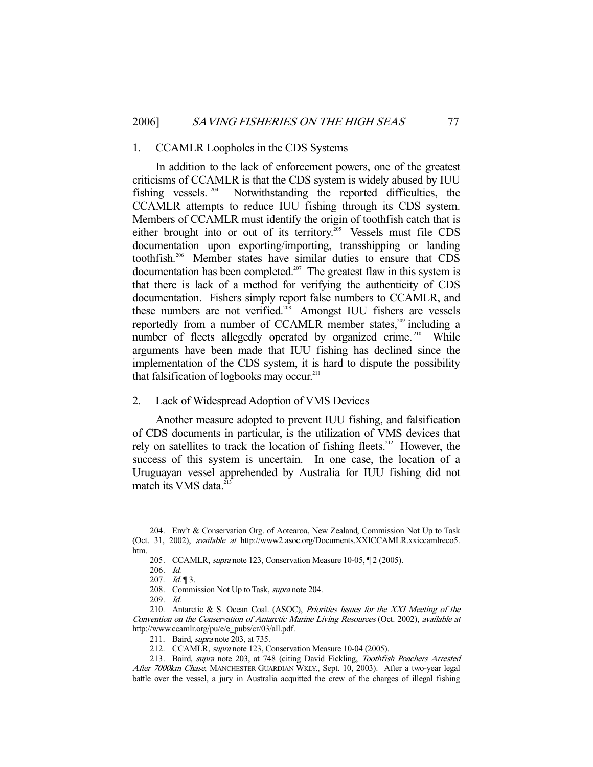#### 1. CCAMLR Loopholes in the CDS Systems

 In addition to the lack of enforcement powers, one of the greatest criticisms of CCAMLR is that the CDS system is widely abused by IUU fishing vessels. 204 Notwithstanding the reported difficulties, the CCAMLR attempts to reduce IUU fishing through its CDS system. Members of CCAMLR must identify the origin of toothfish catch that is either brought into or out of its territory.<sup>205</sup> Vessels must file CDS documentation upon exporting/importing, transshipping or landing toothfish.206 Member states have similar duties to ensure that CDS documentation has been completed.<sup>207</sup> The greatest flaw in this system is that there is lack of a method for verifying the authenticity of CDS documentation. Fishers simply report false numbers to CCAMLR, and these numbers are not verified.<sup>208</sup> Amongst IUU fishers are vessels reportedly from a number of CCAMLR member states, $209$  including a number of fleets allegedly operated by organized crime.<sup>210</sup> While arguments have been made that IUU fishing has declined since the implementation of the CDS system, it is hard to dispute the possibility that falsification of logbooks may occur. $211$ 

## 2. Lack of Widespread Adoption of VMS Devices

 Another measure adopted to prevent IUU fishing, and falsification of CDS documents in particular, is the utilization of VMS devices that rely on satellites to track the location of fishing fleets.<sup>212</sup> However, the success of this system is uncertain. In one case, the location of a Uruguayan vessel apprehended by Australia for IUU fishing did not match its VMS data.<sup>2</sup>

 <sup>204.</sup> Env't & Conservation Org. of Aotearoa, New Zealand, Commission Not Up to Task (Oct. 31, 2002), available at http://www2.asoc.org/Documents.XXICCAMLR.xxiccamlreco5. htm.

 <sup>205.</sup> CCAMLR, supra note 123, Conservation Measure 10-05, ¶ 2 (2005).

 <sup>206.</sup> Id.

<sup>207.</sup>  $Id. \P 3$ .

<sup>208.</sup> Commission Not Up to Task, *supra* note 204.

 <sup>209.</sup> Id.

<sup>210.</sup> Antarctic & S. Ocean Coal. (ASOC), Priorities Issues for the XXI Meeting of the Convention on the Conservation of Antarctic Marine Living Resources (Oct. 2002), available at http://www.ccamlr.org/pu/e/e\_pubs/cr/03/all.pdf.

<sup>211.</sup> Baird, *supra* note 203, at 735.

 <sup>212.</sup> CCAMLR, supra note 123, Conservation Measure 10-04 (2005).

 <sup>213.</sup> Baird, supra note 203, at 748 (citing David Fickling, Toothfish Poachers Arrested After 7000km Chase, MANCHESTER GUARDIAN WKLY., Sept. 10, 2003). After a two-year legal battle over the vessel, a jury in Australia acquitted the crew of the charges of illegal fishing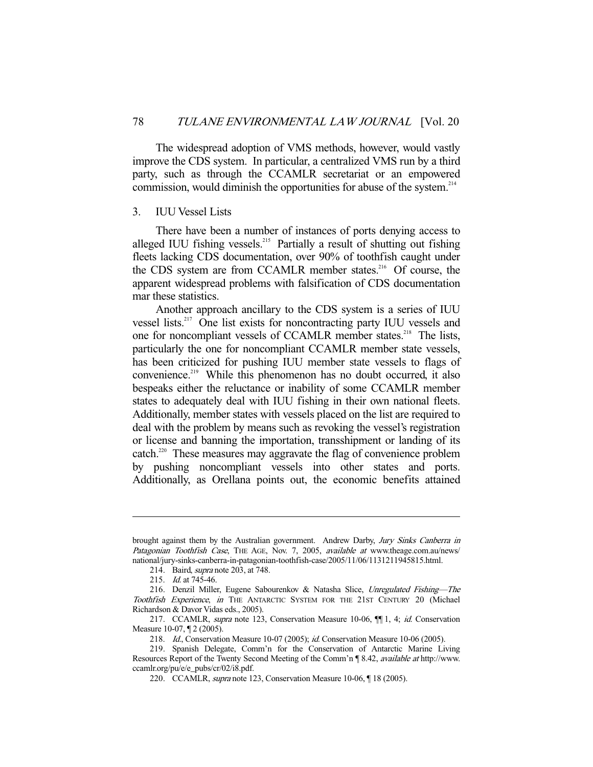The widespread adoption of VMS methods, however, would vastly improve the CDS system. In particular, a centralized VMS run by a third party, such as through the CCAMLR secretariat or an empowered commission, would diminish the opportunities for abuse of the system. $214$ 

#### 3. IUU Vessel Lists

 There have been a number of instances of ports denying access to alleged IUU fishing vessels.<sup>215</sup> Partially a result of shutting out fishing fleets lacking CDS documentation, over 90% of toothfish caught under the CDS system are from CCAMLR member states.<sup>216</sup> Of course, the apparent widespread problems with falsification of CDS documentation mar these statistics.

 Another approach ancillary to the CDS system is a series of IUU vessel lists.217 One list exists for noncontracting party IUU vessels and one for noncompliant vessels of CCAMLR member states.<sup>218</sup> The lists, particularly the one for noncompliant CCAMLR member state vessels, has been criticized for pushing IUU member state vessels to flags of convenience.<sup>219</sup> While this phenomenon has no doubt occurred, it also bespeaks either the reluctance or inability of some CCAMLR member states to adequately deal with IUU fishing in their own national fleets. Additionally, member states with vessels placed on the list are required to deal with the problem by means such as revoking the vessel's registration or license and banning the importation, transshipment or landing of its catch.<sup>220</sup> These measures may aggravate the flag of convenience problem by pushing noncompliant vessels into other states and ports. Additionally, as Orellana points out, the economic benefits attained

brought against them by the Australian government. Andrew Darby, Jury Sinks Canberra in Patagonian Toothfish Case, THE AGE, Nov. 7, 2005, available at www.theage.com.au/news/ national/jury-sinks-canberra-in-patagonian-toothfish-case/2005/11/06/1131211945815.html.

<sup>214.</sup> Baird, *supra* note 203, at 748.

<sup>215.</sup> *Id.* at 745-46.

<sup>216.</sup> Denzil Miller, Eugene Sabourenkov & Natasha Slice, Unregulated Fishing-The Toothfish Experience, in THE ANTARCTIC SYSTEM FOR THE 21ST CENTURY 20 (Michael Richardson & Davor Vidas eds., 2005).

<sup>217.</sup> CCAMLR, supra note 123, Conservation Measure 10-06, [[1], 4; id. Conservation Measure 10-07, ¶ 2 (2005).

<sup>218.</sup> Id., Conservation Measure 10-07 (2005); id. Conservation Measure 10-06 (2005).

 <sup>219.</sup> Spanish Delegate, Comm'n for the Conservation of Antarctic Marine Living Resources Report of the Twenty Second Meeting of the Comm'n ¶ 8.42, available at http://www. ccamlr.org/pu/e/e\_pubs/cr/02/i8.pdf.

 <sup>220.</sup> CCAMLR, supra note 123, Conservation Measure 10-06, ¶ 18 (2005).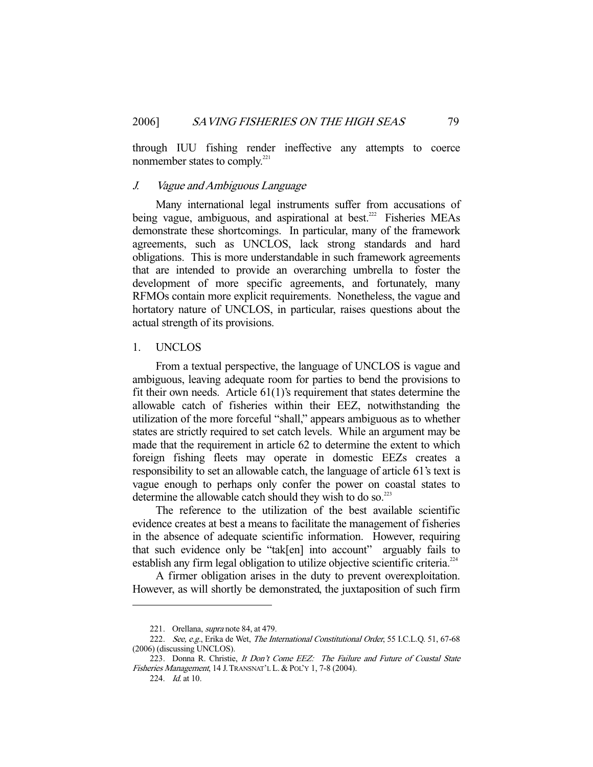through IUU fishing render ineffective any attempts to coerce nonmember states to comply.<sup>221</sup>

## J. Vague and Ambiguous Language

 Many international legal instruments suffer from accusations of being vague, ambiguous, and aspirational at best.<sup>222</sup> Fisheries MEAs demonstrate these shortcomings. In particular, many of the framework agreements, such as UNCLOS, lack strong standards and hard obligations. This is more understandable in such framework agreements that are intended to provide an overarching umbrella to foster the development of more specific agreements, and fortunately, many RFMOs contain more explicit requirements. Nonetheless, the vague and hortatory nature of UNCLOS, in particular, raises questions about the actual strength of its provisions.

## 1. UNCLOS

 From a textual perspective, the language of UNCLOS is vague and ambiguous, leaving adequate room for parties to bend the provisions to fit their own needs. Article  $61(1)$ 's requirement that states determine the allowable catch of fisheries within their EEZ, notwithstanding the utilization of the more forceful "shall," appears ambiguous as to whether states are strictly required to set catch levels. While an argument may be made that the requirement in article 62 to determine the extent to which foreign fishing fleets may operate in domestic EEZs creates a responsibility to set an allowable catch, the language of article 61's text is vague enough to perhaps only confer the power on coastal states to determine the allowable catch should they wish to do so. $^{223}$ 

 The reference to the utilization of the best available scientific evidence creates at best a means to facilitate the management of fisheries in the absence of adequate scientific information. However, requiring that such evidence only be "tak[en] into account" arguably fails to establish any firm legal obligation to utilize objective scientific criteria.<sup> $224$ </sup>

 A firmer obligation arises in the duty to prevent overexploitation. However, as will shortly be demonstrated, the juxtaposition of such firm

<sup>221.</sup> Orellana, *supra* note 84, at 479.

<sup>222.</sup> See, e.g., Erika de Wet, The International Constitutional Order, 55 I.C.L.Q. 51, 67-68 (2006) (discussing UNCLOS).

<sup>223.</sup> Donna R. Christie, It Don't Come EEZ: The Failure and Future of Coastal State Fisheries Management, 14 J.TRANSNAT'L L.& POL'Y 1, 7-8 (2004).

 <sup>224.</sup> Id. at 10.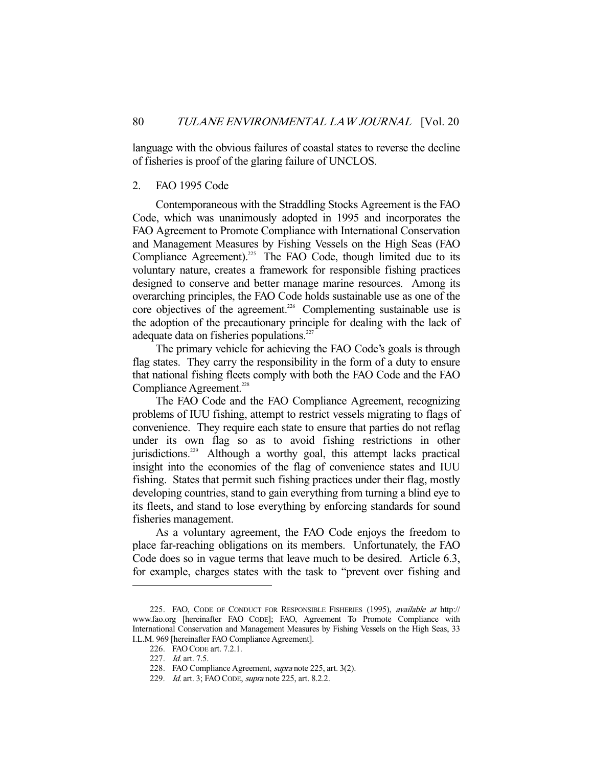language with the obvious failures of coastal states to reverse the decline of fisheries is proof of the glaring failure of UNCLOS.

## 2. FAO 1995 Code

 Contemporaneous with the Straddling Stocks Agreement is the FAO Code, which was unanimously adopted in 1995 and incorporates the FAO Agreement to Promote Compliance with International Conservation and Management Measures by Fishing Vessels on the High Seas (FAO Compliance Agreement).<sup>225</sup> The FAO Code, though limited due to its voluntary nature, creates a framework for responsible fishing practices designed to conserve and better manage marine resources. Among its overarching principles, the FAO Code holds sustainable use as one of the core objectives of the agreement.<sup>226</sup> Complementing sustainable use is the adoption of the precautionary principle for dealing with the lack of adequate data on fisheries populations.<sup>227</sup>

 The primary vehicle for achieving the FAO Code's goals is through flag states. They carry the responsibility in the form of a duty to ensure that national fishing fleets comply with both the FAO Code and the FAO Compliance Agreement.<sup>228</sup>

 The FAO Code and the FAO Compliance Agreement, recognizing problems of IUU fishing, attempt to restrict vessels migrating to flags of convenience. They require each state to ensure that parties do not reflag under its own flag so as to avoid fishing restrictions in other jurisdictions.<sup>229</sup> Although a worthy goal, this attempt lacks practical insight into the economies of the flag of convenience states and IUU fishing. States that permit such fishing practices under their flag, mostly developing countries, stand to gain everything from turning a blind eye to its fleets, and stand to lose everything by enforcing standards for sound fisheries management.

 As a voluntary agreement, the FAO Code enjoys the freedom to place far-reaching obligations on its members. Unfortunately, the FAO Code does so in vague terms that leave much to be desired. Article 6.3, for example, charges states with the task to "prevent over fishing and

<sup>225.</sup> FAO, CODE OF CONDUCT FOR RESPONSIBLE FISHERIES (1995), available at http:// www.fao.org [hereinafter FAO CODE]; FAO, Agreement To Promote Compliance with International Conservation and Management Measures by Fishing Vessels on the High Seas, 33 I.L.M. 969 [hereinafter FAO Compliance Agreement].

 <sup>226.</sup> FAO CODE art. 7.2.1.

 <sup>227.</sup> Id. art. 7.5.

 <sup>228.</sup> FAO Compliance Agreement, supra note 225, art. 3(2).

<sup>229.</sup> *Id.* art. 3; FAO CODE, *supra* note 225, art. 8.2.2.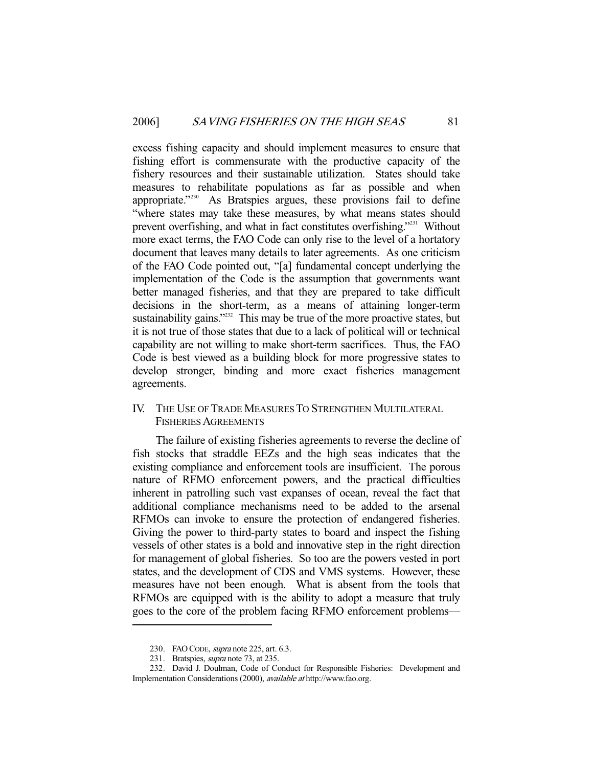excess fishing capacity and should implement measures to ensure that fishing effort is commensurate with the productive capacity of the fishery resources and their sustainable utilization. States should take measures to rehabilitate populations as far as possible and when appropriate."<sup>230</sup> As Bratspies argues, these provisions fail to define "where states may take these measures, by what means states should prevent overfishing, and what in fact constitutes overfishing."231 Without more exact terms, the FAO Code can only rise to the level of a hortatory document that leaves many details to later agreements. As one criticism of the FAO Code pointed out, "[a] fundamental concept underlying the implementation of the Code is the assumption that governments want better managed fisheries, and that they are prepared to take difficult decisions in the short-term, as a means of attaining longer-term sustainability gains."<sup>232</sup> This may be true of the more proactive states, but it is not true of those states that due to a lack of political will or technical capability are not willing to make short-term sacrifices. Thus, the FAO Code is best viewed as a building block for more progressive states to develop stronger, binding and more exact fisheries management agreements.

IV. THE USE OF TRADE MEASURES TO STRENGTHEN MULTILATERAL FISHERIES AGREEMENTS

 The failure of existing fisheries agreements to reverse the decline of fish stocks that straddle EEZs and the high seas indicates that the existing compliance and enforcement tools are insufficient. The porous nature of RFMO enforcement powers, and the practical difficulties inherent in patrolling such vast expanses of ocean, reveal the fact that additional compliance mechanisms need to be added to the arsenal RFMOs can invoke to ensure the protection of endangered fisheries. Giving the power to third-party states to board and inspect the fishing vessels of other states is a bold and innovative step in the right direction for management of global fisheries. So too are the powers vested in port states, and the development of CDS and VMS systems. However, these measures have not been enough. What is absent from the tools that RFMOs are equipped with is the ability to adopt a measure that truly goes to the core of the problem facing RFMO enforcement problems—

<sup>230.</sup> FAO CODE, *supra* note 225, art. 6.3.

 <sup>231.</sup> Bratspies, supra note 73, at 235.

 <sup>232.</sup> David J. Doulman, Code of Conduct for Responsible Fisheries: Development and Implementation Considerations (2000), available at http://www.fao.org.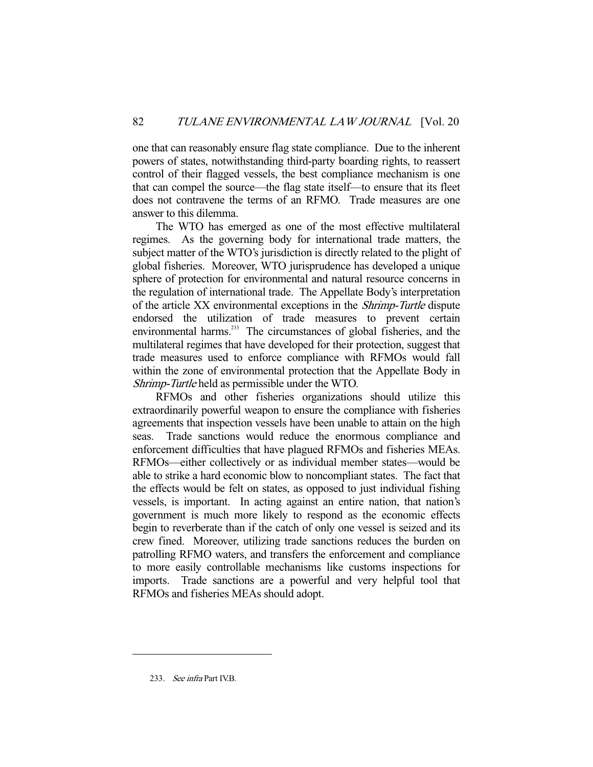one that can reasonably ensure flag state compliance. Due to the inherent powers of states, notwithstanding third-party boarding rights, to reassert control of their flagged vessels, the best compliance mechanism is one that can compel the source—the flag state itself—to ensure that its fleet does not contravene the terms of an RFMO. Trade measures are one answer to this dilemma.

 The WTO has emerged as one of the most effective multilateral regimes. As the governing body for international trade matters, the subject matter of the WTO's jurisdiction is directly related to the plight of global fisheries. Moreover, WTO jurisprudence has developed a unique sphere of protection for environmental and natural resource concerns in the regulation of international trade. The Appellate Body's interpretation of the article XX environmental exceptions in the Shrimp-Turtle dispute endorsed the utilization of trade measures to prevent certain environmental harms.<sup>233</sup> The circumstances of global fisheries, and the multilateral regimes that have developed for their protection, suggest that trade measures used to enforce compliance with RFMOs would fall within the zone of environmental protection that the Appellate Body in Shrimp-Turtle held as permissible under the WTO.

 RFMOs and other fisheries organizations should utilize this extraordinarily powerful weapon to ensure the compliance with fisheries agreements that inspection vessels have been unable to attain on the high seas. Trade sanctions would reduce the enormous compliance and enforcement difficulties that have plagued RFMOs and fisheries MEAs. RFMOs—either collectively or as individual member states—would be able to strike a hard economic blow to noncompliant states. The fact that the effects would be felt on states, as opposed to just individual fishing vessels, is important. In acting against an entire nation, that nation's government is much more likely to respond as the economic effects begin to reverberate than if the catch of only one vessel is seized and its crew fined. Moreover, utilizing trade sanctions reduces the burden on patrolling RFMO waters, and transfers the enforcement and compliance to more easily controllable mechanisms like customs inspections for imports. Trade sanctions are a powerful and very helpful tool that RFMOs and fisheries MEAs should adopt.

 <sup>233.</sup> See infra Part IV.B.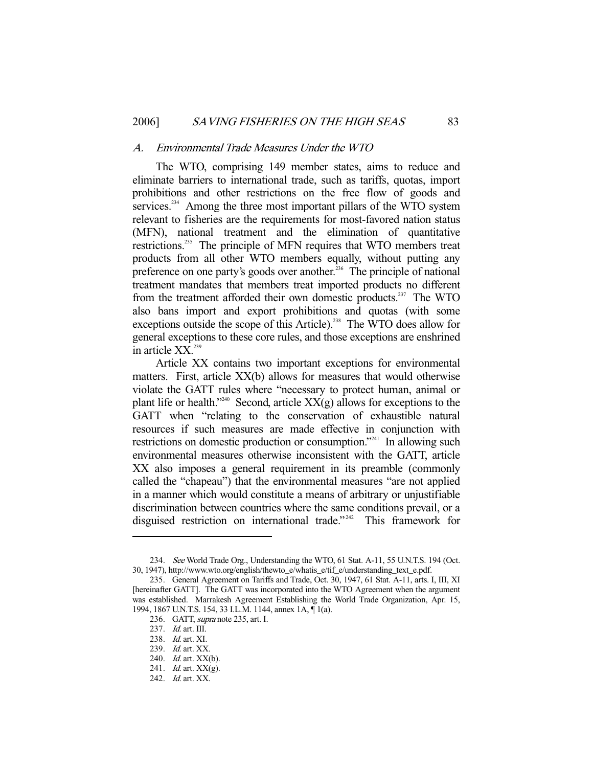#### A. Environmental Trade Measures Under the WTO

 The WTO, comprising 149 member states, aims to reduce and eliminate barriers to international trade, such as tariffs, quotas, import prohibitions and other restrictions on the free flow of goods and services.<sup>234</sup> Among the three most important pillars of the WTO system relevant to fisheries are the requirements for most-favored nation status (MFN), national treatment and the elimination of quantitative restrictions.<sup>235</sup> The principle of MFN requires that WTO members treat products from all other WTO members equally, without putting any preference on one party's goods over another.<sup>236</sup> The principle of national treatment mandates that members treat imported products no different from the treatment afforded their own domestic products.<sup>237</sup> The WTO also bans import and export prohibitions and quotas (with some exceptions outside the scope of this Article).<sup>238</sup> The WTO does allow for general exceptions to these core rules, and those exceptions are enshrined in article  $XX$ <sup>239</sup>

 Article XX contains two important exceptions for environmental matters. First, article XX(b) allows for measures that would otherwise violate the GATT rules where "necessary to protect human, animal or plant life or health."<sup>240</sup> Second, article  $XX(g)$  allows for exceptions to the GATT when "relating to the conservation of exhaustible natural resources if such measures are made effective in conjunction with restrictions on domestic production or consumption."<sup>241</sup> In allowing such environmental measures otherwise inconsistent with the GATT, article XX also imposes a general requirement in its preamble (commonly called the "chapeau") that the environmental measures "are not applied in a manner which would constitute a means of arbitrary or unjustifiable discrimination between countries where the same conditions prevail, or a disguised restriction on international trade."<sup>242</sup> This framework for

<sup>234.</sup> See World Trade Org., Understanding the WTO, 61 Stat. A-11, 55 U.N.T.S. 194 (Oct. 30, 1947), http://www.wto.org/english/thewto\_e/whatis\_e/tif\_e/understanding\_text\_e.pdf.

 <sup>235.</sup> General Agreement on Tariffs and Trade, Oct. 30, 1947, 61 Stat. A-11, arts. I, III, XI [hereinafter GATT]. The GATT was incorporated into the WTO Agreement when the argument was established. Marrakesh Agreement Establishing the World Trade Organization, Apr. 15, 1994, 1867 U.N.T.S. 154, 33 I.L.M. 1144, annex 1A, ¶ 1(a).

<sup>236.</sup> GATT, *supra* note 235, art. I.

<sup>237.</sup> *Id.* art. III.

<sup>238.</sup> *Id.* art. XI.

 <sup>239.</sup> Id. art. XX.

<sup>240.</sup> *Id.* art. XX(b).

 <sup>241.</sup> Id. art. XX(g).

 <sup>242.</sup> Id. art. XX.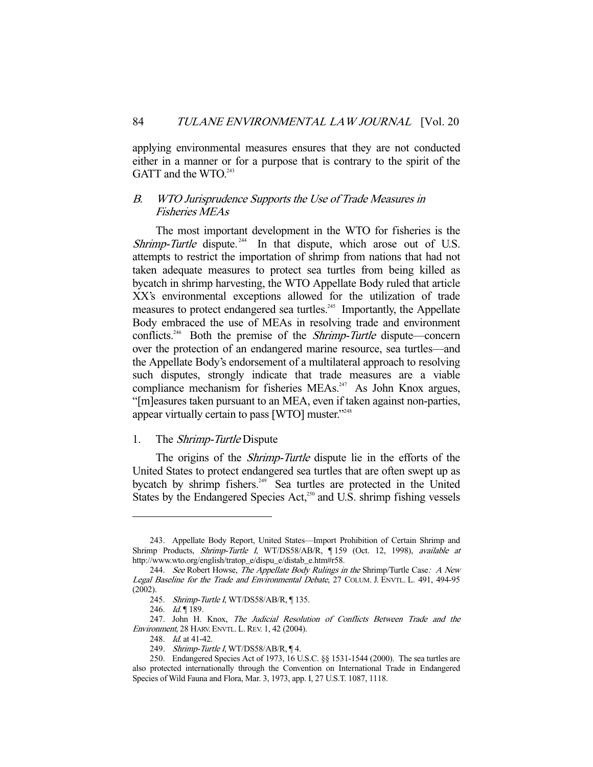applying environmental measures ensures that they are not conducted either in a manner or for a purpose that is contrary to the spirit of the GATT and the WTO.<sup>243</sup>

## B. WTO Jurisprudence Supports the Use of Trade Measures in Fisheries MEAs

 The most important development in the WTO for fisheries is the Shrimp-Turtle dispute.<sup> $244$ </sup> In that dispute, which arose out of U.S. attempts to restrict the importation of shrimp from nations that had not taken adequate measures to protect sea turtles from being killed as bycatch in shrimp harvesting, the WTO Appellate Body ruled that article XX's environmental exceptions allowed for the utilization of trade measures to protect endangered sea turtles.<sup>245</sup> Importantly, the Appellate Body embraced the use of MEAs in resolving trade and environment conflicts.<sup>246</sup> Both the premise of the *Shrimp-Turtle* dispute—concern over the protection of an endangered marine resource, sea turtles—and the Appellate Body's endorsement of a multilateral approach to resolving such disputes, strongly indicate that trade measures are a viable compliance mechanism for fisheries MEAs.<sup>247</sup> As John Knox argues, "[m]easures taken pursuant to an MEA, even if taken against non-parties, appear virtually certain to pass [WTO] muster."<sup>248</sup>

#### 1. The Shrimp-Turtle Dispute

 The origins of the Shrimp-Turtle dispute lie in the efforts of the United States to protect endangered sea turtles that are often swept up as bycatch by shrimp fishers.<sup>249</sup> Sea turtles are protected in the United States by the Endangered Species  $Act<sub>1</sub><sup>250</sup>$  and U.S. shrimp fishing vessels

 <sup>243.</sup> Appellate Body Report, United States—Import Prohibition of Certain Shrimp and Shrimp Products, Shrimp-Turtle I, WT/DS58/AB/R, ¶ 159 (Oct. 12, 1998), available at http://www.wto.org/english/tratop\_e/dispu\_e/distab\_e.htm#r58.

<sup>244.</sup> See Robert Howse, The Appellate Body Rulings in the Shrimp/Turtle Case: A New Legal Baseline for the Trade and Environmental Debate, 27 COLUM. J. ENVTL. L. 491, 494-95 (2002).

<sup>245.</sup> Shrimp-Turtle I, WT/DS58/AB/R, ¶ 135.

<sup>246.</sup>  $Id. \P 189$ .

 <sup>247.</sup> John H. Knox, The Judicial Resolution of Conflicts Between Trade and the Environment, 28 HARV. ENVTL. L. REV. 1, 42 (2004).

<sup>248.</sup> *Id.* at 41-42.

<sup>249.</sup> Shrimp-Turtle I, WT/DS58/AB/R, ¶ 4.

 <sup>250.</sup> Endangered Species Act of 1973, 16 U.S.C. §§ 1531-1544 (2000). The sea turtles are also protected internationally through the Convention on International Trade in Endangered Species of Wild Fauna and Flora, Mar. 3, 1973, app. I, 27 U.S.T. 1087, 1118.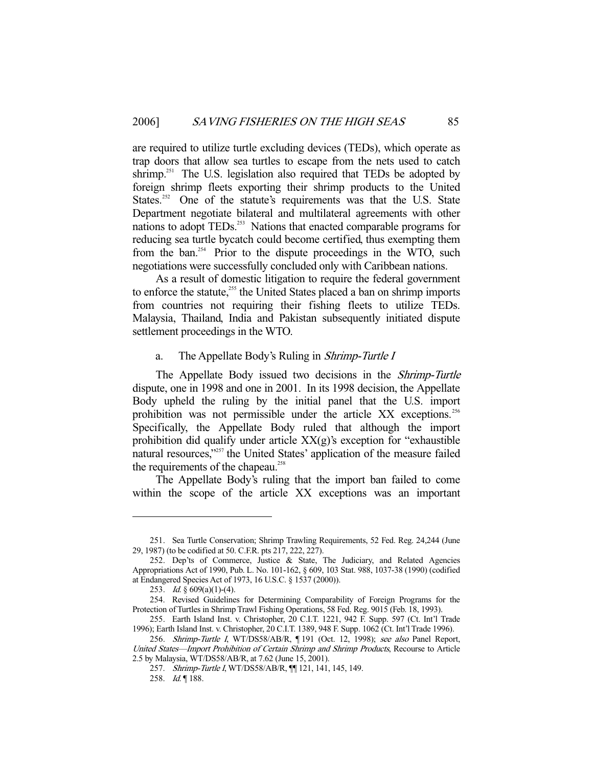are required to utilize turtle excluding devices (TEDs), which operate as trap doors that allow sea turtles to escape from the nets used to catch shrimp.<sup>251</sup> The U.S. legislation also required that TEDs be adopted by foreign shrimp fleets exporting their shrimp products to the United States.<sup>252</sup> One of the statute's requirements was that the U.S. State Department negotiate bilateral and multilateral agreements with other nations to adopt TEDs.<sup>253</sup> Nations that enacted comparable programs for reducing sea turtle bycatch could become certified, thus exempting them from the ban.<sup>254</sup> Prior to the dispute proceedings in the WTO, such negotiations were successfully concluded only with Caribbean nations.

 As a result of domestic litigation to require the federal government to enforce the statute,<sup>255</sup> the United States placed a ban on shrimp imports from countries not requiring their fishing fleets to utilize TEDs. Malaysia, Thailand, India and Pakistan subsequently initiated dispute settlement proceedings in the WTO.

## a. The Appellate Body's Ruling in *Shrimp-Turtle I*

 The Appellate Body issued two decisions in the Shrimp-Turtle dispute, one in 1998 and one in 2001. In its 1998 decision, the Appellate Body upheld the ruling by the initial panel that the U.S. import prohibition was not permissible under the article XX exceptions.<sup>256</sup> Specifically, the Appellate Body ruled that although the import prohibition did qualify under article  $XX(g)$ 's exception for "exhaustible" natural resources,"<sup>257</sup> the United States' application of the measure failed the requirements of the chapeau.<sup>258</sup>

 The Appellate Body's ruling that the import ban failed to come within the scope of the article XX exceptions was an important

 <sup>251.</sup> Sea Turtle Conservation; Shrimp Trawling Requirements, 52 Fed. Reg. 24,244 (June 29, 1987) (to be codified at 50. C.F.R. pts 217, 222, 227).

 <sup>252.</sup> Dep'ts of Commerce, Justice & State, The Judiciary, and Related Agencies Appropriations Act of 1990, Pub. L. No. 101-162, § 609, 103 Stat. 988, 1037-38 (1990) (codified at Endangered Species Act of 1973, 16 U.S.C. § 1537 (2000)).

<sup>253.</sup> *Id.* §  $609(a)(1)-(4)$ .

 <sup>254.</sup> Revised Guidelines for Determining Comparability of Foreign Programs for the Protection of Turtles in Shrimp Trawl Fishing Operations, 58 Fed. Reg. 9015 (Feb. 18, 1993).

 <sup>255.</sup> Earth Island Inst. v. Christopher, 20 C.I.T. 1221, 942 F. Supp. 597 (Ct. Int'l Trade 1996); Earth Island Inst. v. Christopher, 20 C.I.T. 1389, 948 F. Supp. 1062 (Ct. Int'l Trade 1996).

<sup>256.</sup> Shrimp-Turtle I, WT/DS58/AB/R, 191 (Oct. 12, 1998); see also Panel Report, United States—Import Prohibition of Certain Shrimp and Shrimp Products, Recourse to Article 2.5 by Malaysia, WT/DS58/AB/R, at 7.62 (June 15, 2001).

<sup>257.</sup> Shrimp-Turtle I, WT/DS58/AB/R,  $\P$ [121, 141, 145, 149.

<sup>258.</sup> Id. | 188.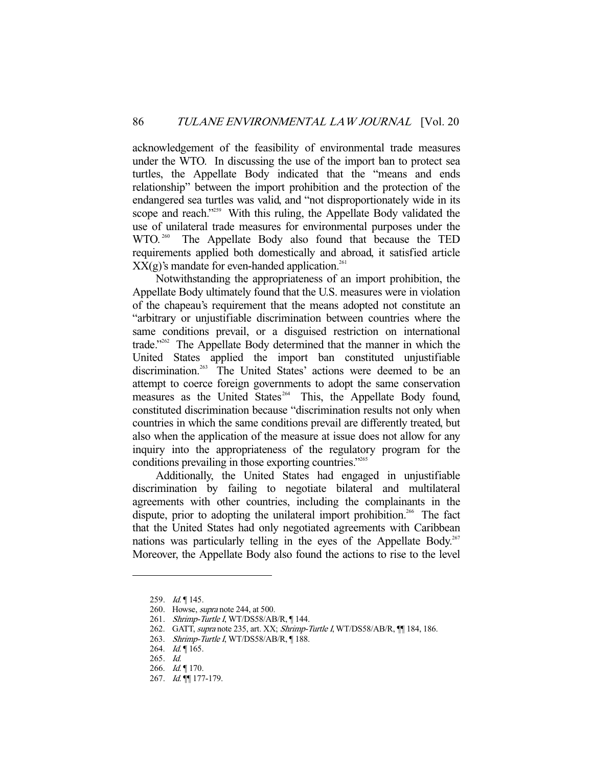acknowledgement of the feasibility of environmental trade measures under the WTO. In discussing the use of the import ban to protect sea turtles, the Appellate Body indicated that the "means and ends relationship" between the import prohibition and the protection of the endangered sea turtles was valid, and "not disproportionately wide in its scope and reach."<sup>259</sup> With this ruling, the Appellate Body validated the use of unilateral trade measures for environmental purposes under the WTO.<sup>260</sup> The Appellate Body also found that because the TED requirements applied both domestically and abroad, it satisfied article  $XX(g)$ 's mandate for even-handed application.<sup>261</sup>

 Notwithstanding the appropriateness of an import prohibition, the Appellate Body ultimately found that the U.S. measures were in violation of the chapeau's requirement that the means adopted not constitute an "arbitrary or unjustifiable discrimination between countries where the same conditions prevail, or a disguised restriction on international trade."262 The Appellate Body determined that the manner in which the United States applied the import ban constituted unjustifiable discrimination.<sup>263</sup> The United States' actions were deemed to be an attempt to coerce foreign governments to adopt the same conservation measures as the United States $264$  This, the Appellate Body found, constituted discrimination because "discrimination results not only when countries in which the same conditions prevail are differently treated, but also when the application of the measure at issue does not allow for any inquiry into the appropriateness of the regulatory program for the conditions prevailing in those exporting countries."<sup>265</sup>

 Additionally, the United States had engaged in unjustifiable discrimination by failing to negotiate bilateral and multilateral agreements with other countries, including the complainants in the dispute, prior to adopting the unilateral import prohibition.<sup>266</sup> The fact that the United States had only negotiated agreements with Caribbean nations was particularly telling in the eyes of the Appellate Body.<sup>267</sup> Moreover, the Appellate Body also found the actions to rise to the level

- 262. GATT, supra note 235, art. XX; Shrimp-Turtle I, WT/DS58/AB/R, II 184, 186.
- 263. Shrimp-Turtle I, WT/DS58/AB/R, 188.

<sup>259.</sup> *Id.* 145.

 <sup>260.</sup> Howse, supra note 244, at 500.

<sup>261.</sup> Shrimp-Turtle I, WT/DS58/AB/R, ¶144.

<sup>264.</sup> *Id.*  $\sqrt{165}$ .

 <sup>265.</sup> Id.

<sup>266.</sup> Id. | 170.

 <sup>267.</sup> Id. ¶¶ 177-179.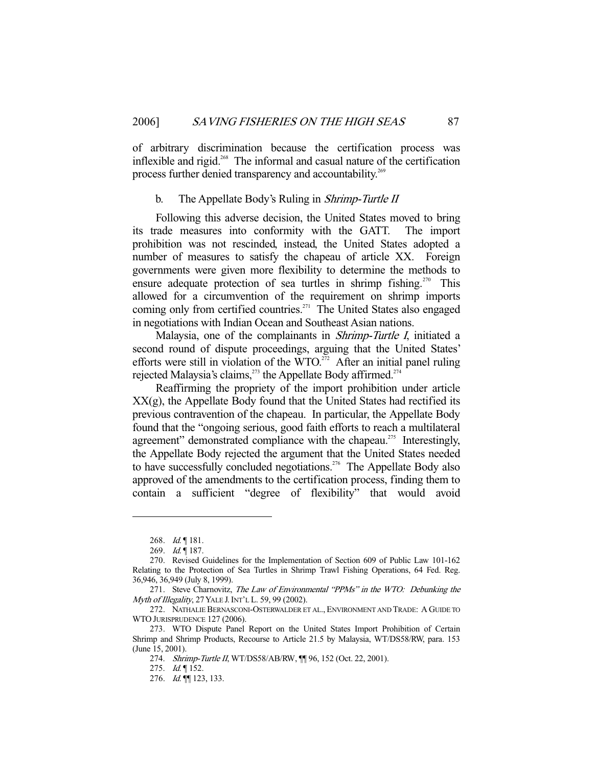of arbitrary discrimination because the certification process was inflexible and rigid.<sup>268</sup> The informal and casual nature of the certification process further denied transparency and accountability.<sup>269</sup>

## b. The Appellate Body's Ruling in Shrimp-Turtle II

 Following this adverse decision, the United States moved to bring its trade measures into conformity with the GATT. The import prohibition was not rescinded, instead, the United States adopted a number of measures to satisfy the chapeau of article XX. Foreign governments were given more flexibility to determine the methods to ensure adequate protection of sea turtles in shrimp fishing.<sup>270</sup> This allowed for a circumvention of the requirement on shrimp imports coming only from certified countries.<sup>271</sup> The United States also engaged in negotiations with Indian Ocean and Southeast Asian nations.

 Malaysia, one of the complainants in Shrimp-Turtle I, initiated a second round of dispute proceedings, arguing that the United States' efforts were still in violation of the WTO.<sup>272</sup> After an initial panel ruling rejected Malaysia's claims, $^{273}$  the Appellate Body affirmed. $^{274}$ 

 Reaffirming the propriety of the import prohibition under article XX(g), the Appellate Body found that the United States had rectified its previous contravention of the chapeau. In particular, the Appellate Body found that the "ongoing serious, good faith efforts to reach a multilateral agreement" demonstrated compliance with the chapeau.<sup>275</sup> Interestingly, the Appellate Body rejected the argument that the United States needed to have successfully concluded negotiations.<sup> $276$ </sup> The Appellate Body also approved of the amendments to the certification process, finding them to contain a sufficient "degree of flexibility" that would avoid

<sup>268.</sup> Id. | 181.

<sup>269.</sup> Id. | 187.

 <sup>270.</sup> Revised Guidelines for the Implementation of Section 609 of Public Law 101-162 Relating to the Protection of Sea Turtles in Shrimp Trawl Fishing Operations, 64 Fed. Reg. 36,946, 36,949 (July 8, 1999).

 <sup>271.</sup> Steve Charnovitz, The Law of Environmental "PPMs" in the WTO: Debunking the Myth of Illegality, 27 YALE J. INT'L L. 59, 99 (2002).

 <sup>272.</sup> NATHALIE BERNASCONI-OSTERWALDER ET AL., ENVIRONMENT AND TRADE: A GUIDE TO WTO JURISPRUDENCE 127 (2006).

 <sup>273.</sup> WTO Dispute Panel Report on the United States Import Prohibition of Certain Shrimp and Shrimp Products, Recourse to Article 21.5 by Malaysia, WT/DS58/RW, para. 153 (June 15, 2001).

 <sup>274.</sup> Shrimp-Turtle II, WT/DS58/AB/RW, ¶¶ 96, 152 (Oct. 22, 2001).

<sup>275.</sup> *Id.* 152.

 <sup>276.</sup> Id. ¶¶ 123, 133.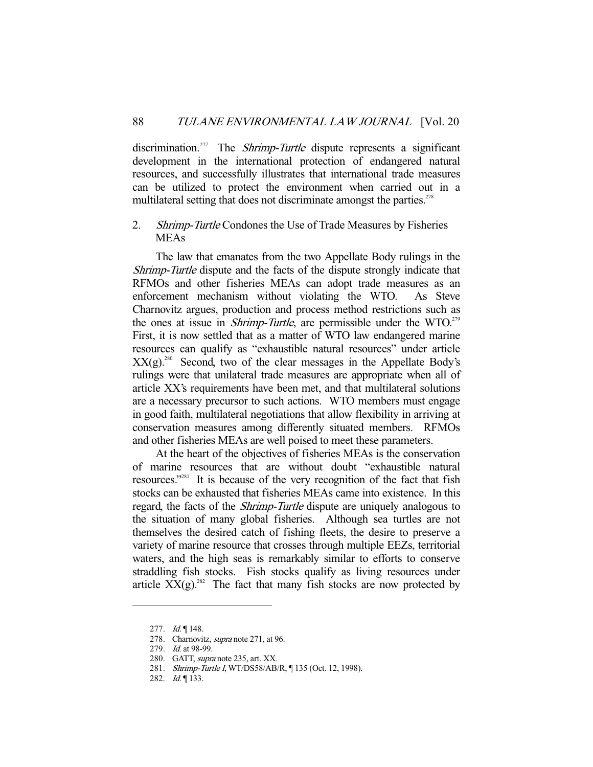discrimination.<sup>277</sup> The *Shrimp-Turtle* dispute represents a significant development in the international protection of endangered natural resources, and successfully illustrates that international trade measures can be utilized to protect the environment when carried out in a multilateral setting that does not discriminate amongst the parties. $278$ 

## 2. Shrimp-Turtle Condones the Use of Trade Measures by Fisheries MEAs

 The law that emanates from the two Appellate Body rulings in the Shrimp-Turtle dispute and the facts of the dispute strongly indicate that RFMOs and other fisheries MEAs can adopt trade measures as an enforcement mechanism without violating the WTO. As Steve Charnovitz argues, production and process method restrictions such as the ones at issue in *Shrimp-Turtle*, are permissible under the WTO.<sup>279</sup> First, it is now settled that as a matter of WTO law endangered marine resources can qualify as "exhaustible natural resources" under article  $XX(g)$ <sup>280</sup> Second, two of the clear messages in the Appellate Body's rulings were that unilateral trade measures are appropriate when all of article XX's requirements have been met, and that multilateral solutions are a necessary precursor to such actions. WTO members must engage in good faith, multilateral negotiations that allow flexibility in arriving at conservation measures among differently situated members. RFMOs and other fisheries MEAs are well poised to meet these parameters.

 At the heart of the objectives of fisheries MEAs is the conservation of marine resources that are without doubt "exhaustible natural resources."281 It is because of the very recognition of the fact that fish stocks can be exhausted that fisheries MEAs came into existence. In this regard, the facts of the Shrimp-Turtle dispute are uniquely analogous to the situation of many global fisheries. Although sea turtles are not themselves the desired catch of fishing fleets, the desire to preserve a variety of marine resource that crosses through multiple EEZs, territorial waters, and the high seas is remarkably similar to efforts to conserve straddling fish stocks. Fish stocks qualify as living resources under article  $XX(g)$ <sup>282</sup>. The fact that many fish stocks are now protected by

<sup>277.</sup> Id. | 148.

<sup>278.</sup> Charnovitz, *supra* note 271, at 96.

<sup>279.</sup> *Id.* at 98-99.

 <sup>280.</sup> GATT, supra note 235, art. XX.

<sup>281.</sup> Shrimp-Turtle I, WT/DS58/AB/R, ¶ 135 (Oct. 12, 1998).

<sup>282.</sup> *Id.* 133.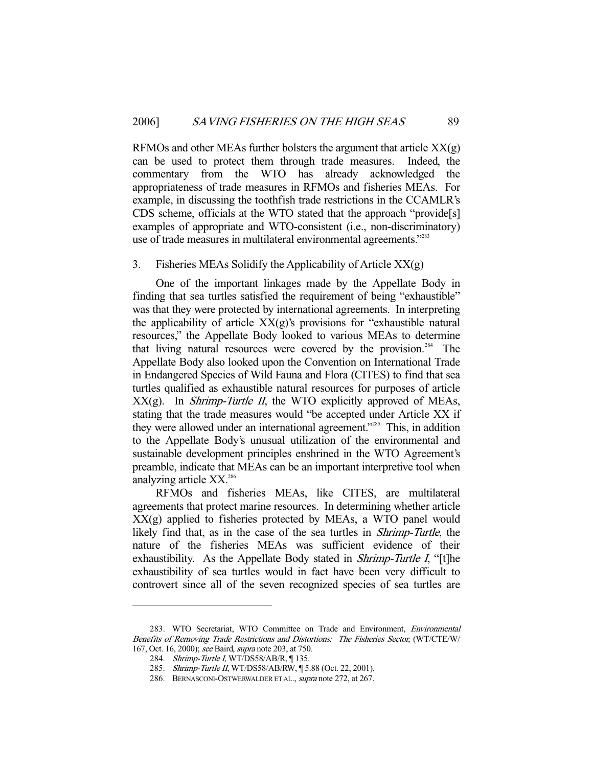RFMOs and other MEAs further bolsters the argument that article  $XX(g)$ can be used to protect them through trade measures. Indeed, the commentary from the WTO has already acknowledged the appropriateness of trade measures in RFMOs and fisheries MEAs. For example, in discussing the toothfish trade restrictions in the CCAMLR's CDS scheme, officials at the WTO stated that the approach "provide[s] examples of appropriate and WTO-consistent (i.e., non-discriminatory) use of trade measures in multilateral environmental agreements."<sup>283</sup>

## 3. Fisheries MEAs Solidify the Applicability of Article XX(g)

 One of the important linkages made by the Appellate Body in finding that sea turtles satisfied the requirement of being "exhaustible" was that they were protected by international agreements. In interpreting the applicability of article  $XX(g)$ 's provisions for "exhaustible natural resources," the Appellate Body looked to various MEAs to determine that living natural resources were covered by the provision.<sup>284</sup> The Appellate Body also looked upon the Convention on International Trade in Endangered Species of Wild Fauna and Flora (CITES) to find that sea turtles qualified as exhaustible natural resources for purposes of article  $XX(g)$ . In *Shrimp-Turtle II*, the WTO explicitly approved of MEAs, stating that the trade measures would "be accepted under Article XX if they were allowed under an international agreement."<sup>285</sup> This, in addition to the Appellate Body's unusual utilization of the environmental and sustainable development principles enshrined in the WTO Agreement's preamble, indicate that MEAs can be an important interpretive tool when analyzing article XX.<sup>286</sup>

 RFMOs and fisheries MEAs, like CITES, are multilateral agreements that protect marine resources. In determining whether article XX(g) applied to fisheries protected by MEAs, a WTO panel would likely find that, as in the case of the sea turtles in Shrimp-Turtle, the nature of the fisheries MEAs was sufficient evidence of their exhaustibility. As the Appellate Body stated in *Shrimp-Turtle I*, "[t]he exhaustibility of sea turtles would in fact have been very difficult to controvert since all of the seven recognized species of sea turtles are

<sup>283.</sup> WTO Secretariat, WTO Committee on Trade and Environment, Environmental Benefits of Removing Trade Restrictions and Distortions: The Fisheries Sector, (WT/CTE/W/ 167, Oct. 16, 2000); see Baird, supra note 203, at 750.

<sup>284.</sup> Shrimp-Turtle I, WT/DS58/AB/R, ¶ 135.

<sup>285.</sup> Shrimp-Turtle II, WT/DS58/AB/RW, ¶ 5.88 (Oct. 22, 2001).

 <sup>286.</sup> BERNASCONI-OSTWERWALDER ET AL., supra note 272, at 267.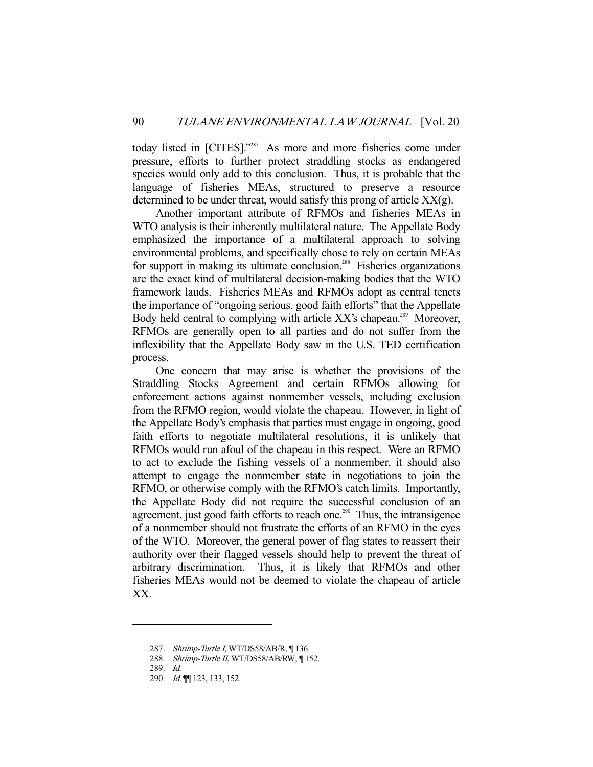today listed in [CITES]."<sup>287</sup> As more and more fisheries come under pressure, efforts to further protect straddling stocks as endangered species would only add to this conclusion. Thus, it is probable that the language of fisheries MEAs, structured to preserve a resource determined to be under threat, would satisfy this prong of article  $XX(g)$ .

 Another important attribute of RFMOs and fisheries MEAs in WTO analysis is their inherently multilateral nature. The Appellate Body emphasized the importance of a multilateral approach to solving environmental problems, and specifically chose to rely on certain MEAs for support in making its ultimate conclusion.<sup>288</sup> Fisheries organizations are the exact kind of multilateral decision-making bodies that the WTO framework lauds. Fisheries MEAs and RFMOs adopt as central tenets the importance of "ongoing serious, good faith efforts" that the Appellate Body held central to complying with article XX's chapeau.<sup>289</sup> Moreover, RFMOs are generally open to all parties and do not suffer from the inflexibility that the Appellate Body saw in the U.S. TED certification process.

 One concern that may arise is whether the provisions of the Straddling Stocks Agreement and certain RFMOs allowing for enforcement actions against nonmember vessels, including exclusion from the RFMO region, would violate the chapeau. However, in light of the Appellate Body's emphasis that parties must engage in ongoing, good faith efforts to negotiate multilateral resolutions, it is unlikely that RFMOs would run afoul of the chapeau in this respect. Were an RFMO to act to exclude the fishing vessels of a nonmember, it should also attempt to engage the nonmember state in negotiations to join the RFMO, or otherwise comply with the RFMO's catch limits. Importantly, the Appellate Body did not require the successful conclusion of an agreement, just good faith efforts to reach one.<sup>290</sup> Thus, the intransigence of a nonmember should not frustrate the efforts of an RFMO in the eyes of the WTO. Moreover, the general power of flag states to reassert their authority over their flagged vessels should help to prevent the threat of arbitrary discrimination. Thus, it is likely that RFMOs and other fisheries MEAs would not be deemed to violate the chapeau of article XX.

<sup>287.</sup> Shrimp-Turtle I, WT/DS58/AB/R, ¶136.

<sup>288.</sup> Shrimp-Turtle II, WT/DS58/AB/RW, ¶ 152.

 <sup>289.</sup> Id.

 <sup>290.</sup> Id. ¶¶ 123, 133, 152.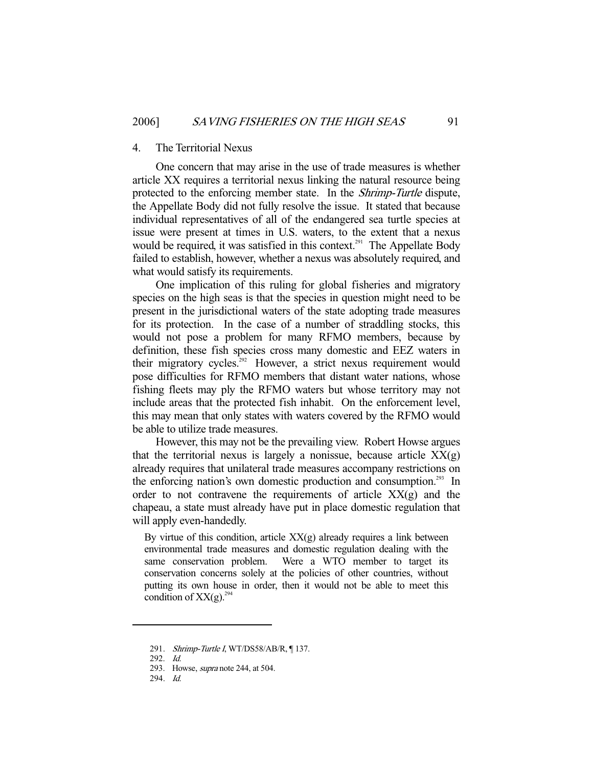#### 4. The Territorial Nexus

 One concern that may arise in the use of trade measures is whether article XX requires a territorial nexus linking the natural resource being protected to the enforcing member state. In the Shrimp-Turtle dispute, the Appellate Body did not fully resolve the issue. It stated that because individual representatives of all of the endangered sea turtle species at issue were present at times in U.S. waters, to the extent that a nexus would be required, it was satisfied in this context.<sup>291</sup> The Appellate Body failed to establish, however, whether a nexus was absolutely required, and what would satisfy its requirements.

 One implication of this ruling for global fisheries and migratory species on the high seas is that the species in question might need to be present in the jurisdictional waters of the state adopting trade measures for its protection. In the case of a number of straddling stocks, this would not pose a problem for many RFMO members, because by definition, these fish species cross many domestic and EEZ waters in their migratory cycles.<sup>292</sup> However, a strict nexus requirement would pose difficulties for RFMO members that distant water nations, whose fishing fleets may ply the RFMO waters but whose territory may not include areas that the protected fish inhabit. On the enforcement level, this may mean that only states with waters covered by the RFMO would be able to utilize trade measures.

 However, this may not be the prevailing view. Robert Howse argues that the territorial nexus is largely a nonissue, because article  $XX(g)$ already requires that unilateral trade measures accompany restrictions on the enforcing nation's own domestic production and consumption.<sup>293</sup> In order to not contravene the requirements of article  $XX(g)$  and the chapeau, a state must already have put in place domestic regulation that will apply even-handedly.

By virtue of this condition, article  $XX(g)$  already requires a link between environmental trade measures and domestic regulation dealing with the same conservation problem. Were a WTO member to target its conservation concerns solely at the policies of other countries, without putting its own house in order, then it would not be able to meet this condition of  $XX(g)$ <sup>294</sup>

<sup>291.</sup> Shrimp-Turtle I, WT/DS58/AB/R, [137.

 <sup>292.</sup> Id.

 <sup>293.</sup> Howse, supra note 244, at 504.

 <sup>294.</sup> Id.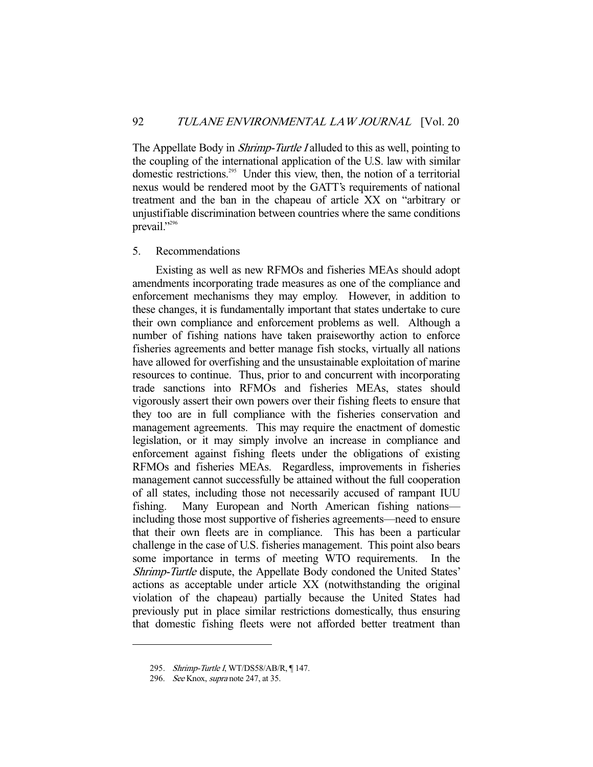The Appellate Body in *Shrimp-Turtle I* alluded to this as well, pointing to the coupling of the international application of the U.S. law with similar domestic restrictions.<sup>295</sup> Under this view, then, the notion of a territorial nexus would be rendered moot by the GATT's requirements of national treatment and the ban in the chapeau of article XX on "arbitrary or unjustifiable discrimination between countries where the same conditions prevail."<sup>296</sup>

## 5. Recommendations

 Existing as well as new RFMOs and fisheries MEAs should adopt amendments incorporating trade measures as one of the compliance and enforcement mechanisms they may employ. However, in addition to these changes, it is fundamentally important that states undertake to cure their own compliance and enforcement problems as well. Although a number of fishing nations have taken praiseworthy action to enforce fisheries agreements and better manage fish stocks, virtually all nations have allowed for overfishing and the unsustainable exploitation of marine resources to continue. Thus, prior to and concurrent with incorporating trade sanctions into RFMOs and fisheries MEAs, states should vigorously assert their own powers over their fishing fleets to ensure that they too are in full compliance with the fisheries conservation and management agreements. This may require the enactment of domestic legislation, or it may simply involve an increase in compliance and enforcement against fishing fleets under the obligations of existing RFMOs and fisheries MEAs. Regardless, improvements in fisheries management cannot successfully be attained without the full cooperation of all states, including those not necessarily accused of rampant IUU fishing. Many European and North American fishing nations including those most supportive of fisheries agreements—need to ensure that their own fleets are in compliance. This has been a particular challenge in the case of U.S. fisheries management. This point also bears some importance in terms of meeting WTO requirements. In the Shrimp-Turtle dispute, the Appellate Body condoned the United States' actions as acceptable under article XX (notwithstanding the original violation of the chapeau) partially because the United States had previously put in place similar restrictions domestically, thus ensuring that domestic fishing fleets were not afforded better treatment than

<sup>295.</sup> Shrimp-Turtle I, WT/DS58/AB/R, ¶ 147.

<sup>296.</sup> See Knox, *supra* note 247, at 35.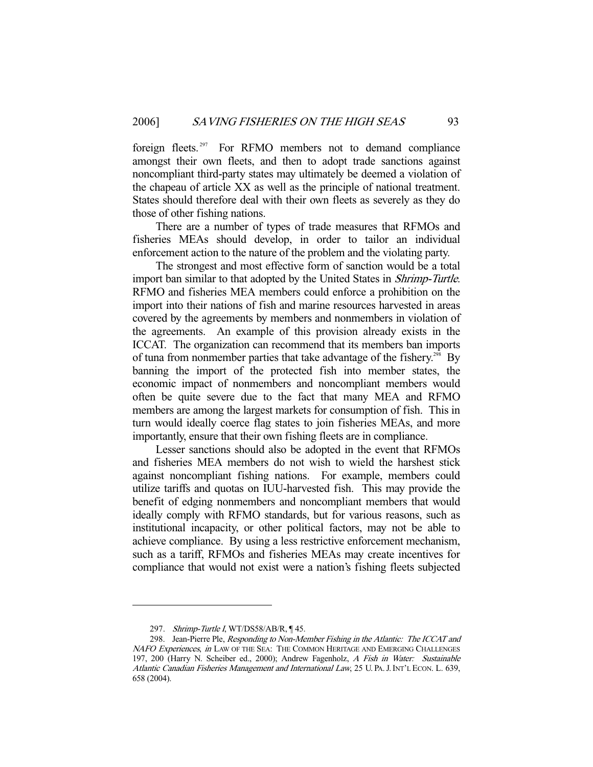foreign fleets.<sup>297</sup> For RFMO members not to demand compliance amongst their own fleets, and then to adopt trade sanctions against noncompliant third-party states may ultimately be deemed a violation of the chapeau of article XX as well as the principle of national treatment. States should therefore deal with their own fleets as severely as they do those of other fishing nations.

 There are a number of types of trade measures that RFMOs and fisheries MEAs should develop, in order to tailor an individual enforcement action to the nature of the problem and the violating party.

 The strongest and most effective form of sanction would be a total import ban similar to that adopted by the United States in Shrimp-Turtle. RFMO and fisheries MEA members could enforce a prohibition on the import into their nations of fish and marine resources harvested in areas covered by the agreements by members and nonmembers in violation of the agreements. An example of this provision already exists in the ICCAT. The organization can recommend that its members ban imports of tuna from nonmember parties that take advantage of the fishery.<sup>298</sup> By banning the import of the protected fish into member states, the economic impact of nonmembers and noncompliant members would often be quite severe due to the fact that many MEA and RFMO members are among the largest markets for consumption of fish. This in turn would ideally coerce flag states to join fisheries MEAs, and more importantly, ensure that their own fishing fleets are in compliance.

 Lesser sanctions should also be adopted in the event that RFMOs and fisheries MEA members do not wish to wield the harshest stick against noncompliant fishing nations. For example, members could utilize tariffs and quotas on IUU-harvested fish. This may provide the benefit of edging nonmembers and noncompliant members that would ideally comply with RFMO standards, but for various reasons, such as institutional incapacity, or other political factors, may not be able to achieve compliance. By using a less restrictive enforcement mechanism, such as a tariff, RFMOs and fisheries MEAs may create incentives for compliance that would not exist were a nation's fishing fleets subjected

<sup>297.</sup> Shrimp-Turtle I, WT/DS58/AB/R, ¶ 45.

<sup>298.</sup> Jean-Pierre Ple, Responding to Non-Member Fishing in the Atlantic: The ICCAT and NAFO Experiences, in LAW OF THE SEA: THE COMMON HERITAGE AND EMERGING CHALLENGES 197, 200 (Harry N. Scheiber ed., 2000); Andrew Fagenholz, A Fish in Water: Sustainable Atlantic Canadian Fisheries Management and International Law, 25 U. PA.J.INT'L ECON. L. 639, 658 (2004).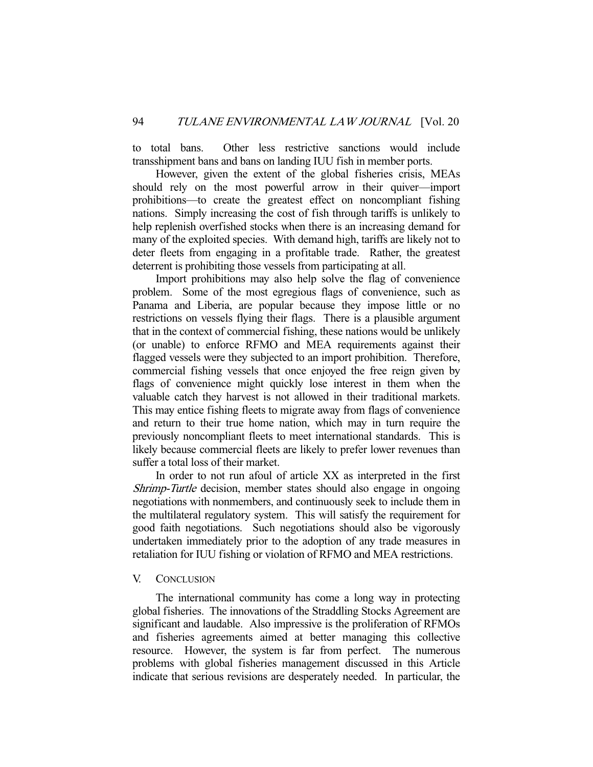to total bans. Other less restrictive sanctions would include transshipment bans and bans on landing IUU fish in member ports.

 However, given the extent of the global fisheries crisis, MEAs should rely on the most powerful arrow in their quiver—import prohibitions—to create the greatest effect on noncompliant fishing nations. Simply increasing the cost of fish through tariffs is unlikely to help replenish overfished stocks when there is an increasing demand for many of the exploited species. With demand high, tariffs are likely not to deter fleets from engaging in a profitable trade. Rather, the greatest deterrent is prohibiting those vessels from participating at all.

 Import prohibitions may also help solve the flag of convenience problem. Some of the most egregious flags of convenience, such as Panama and Liberia, are popular because they impose little or no restrictions on vessels flying their flags. There is a plausible argument that in the context of commercial fishing, these nations would be unlikely (or unable) to enforce RFMO and MEA requirements against their flagged vessels were they subjected to an import prohibition. Therefore, commercial fishing vessels that once enjoyed the free reign given by flags of convenience might quickly lose interest in them when the valuable catch they harvest is not allowed in their traditional markets. This may entice fishing fleets to migrate away from flags of convenience and return to their true home nation, which may in turn require the previously noncompliant fleets to meet international standards. This is likely because commercial fleets are likely to prefer lower revenues than suffer a total loss of their market.

 In order to not run afoul of article XX as interpreted in the first Shrimp-Turtle decision, member states should also engage in ongoing negotiations with nonmembers, and continuously seek to include them in the multilateral regulatory system. This will satisfy the requirement for good faith negotiations. Such negotiations should also be vigorously undertaken immediately prior to the adoption of any trade measures in retaliation for IUU fishing or violation of RFMO and MEA restrictions.

## V. CONCLUSION

 The international community has come a long way in protecting global fisheries. The innovations of the Straddling Stocks Agreement are significant and laudable. Also impressive is the proliferation of RFMOs and fisheries agreements aimed at better managing this collective resource. However, the system is far from perfect. The numerous problems with global fisheries management discussed in this Article indicate that serious revisions are desperately needed. In particular, the